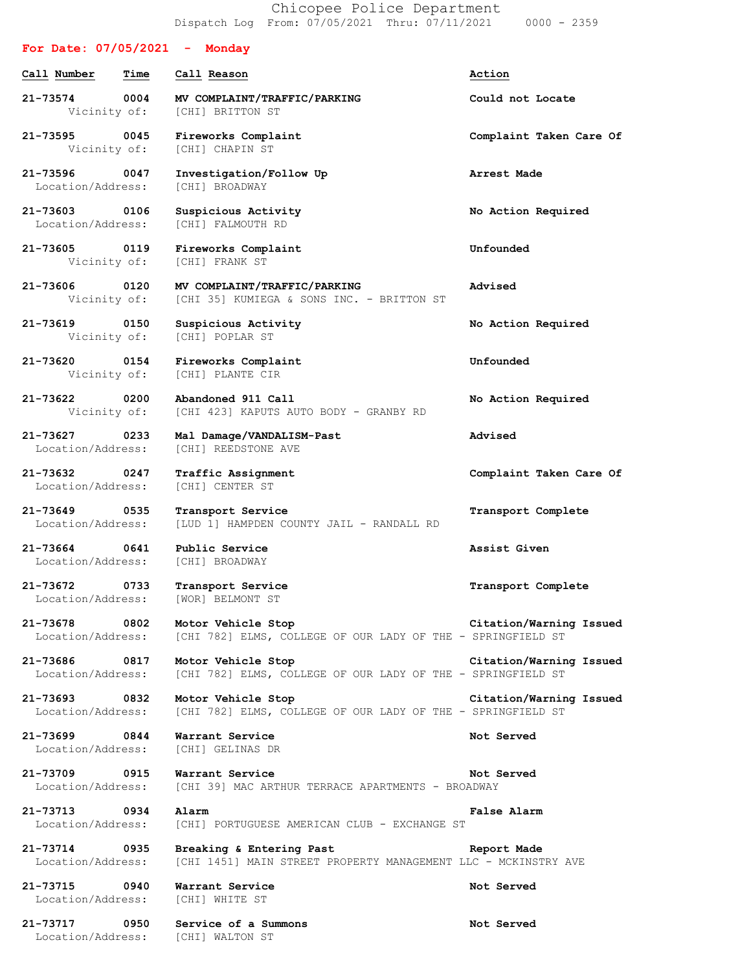Chicopee Police Department Dispatch Log From: 07/05/2021 Thru: 07/11/2021 0000 - 2359

## **For Date: 07/05/2021 - Monday Call Number Time Call Reason Action 21-73574 0004 MV COMPLAINT/TRAFFIC/PARKING Could not Locate** Vicinity of: [CHI] BRITTON ST **21-73595 0045 Fireworks Complaint Complaint Taken Care Of** Vicinity of: [CHI] CHAPIN ST **21-73596 0047 Investigation/Follow Up Arrest Made** Location/Address: [CHI] BROADWAY **21-73603 0106 Suspicious Activity No Action Required** Location/Address: [CHI] FALMOUTH RD **21-73605 0119 Fireworks Complaint Unfounded** Vicinity of: [CHI] FRANK ST **21-73606 0120 MV COMPLAINT/TRAFFIC/PARKING Advised** Vicinity of: [CHI 35] KUMIEGA & SONS INC. - BRITTON ST **21-73619 0150 Suspicious Activity No Action Required** [CHI] POPLAR ST **21-73620 0154 Fireworks Complaint Unfounded** Vicinity of: [CHI] PLANTE CIR **21-73622 0200 Abandoned 911 Call No Action Required** Vicinity of: [CHI 423] KAPUTS AUTO BODY - GRANBY RD **21-73627 0233 Mal Damage/VANDALISM-Past Advised** Location/Address: [CHI] REEDSTONE AVE **21-73632 0247 Traffic Assignment Complaint Taken Care Of** Location/Address: [CHI] CENTER ST **21-73649 0535 Transport Service Transport Complete** Location/Address: [LUD 1] HAMPDEN COUNTY JAIL - RANDALL RD **21-73664 0641 Public Service Assist Given** Location/Address: [CHI] BROADWAY **21-73672 0733 Transport Service Transport Complete** Location/Address: [WOR] BELMONT ST **21-73678 0802 Motor Vehicle Stop Citation/Warning Issued** Location/Address: [CHI 782] ELMS, COLLEGE OF OUR LADY OF THE - SPRINGFIELD ST **21-73686 0817 Motor Vehicle Stop Citation/Warning Issued** Location/Address: [CHI 782] ELMS, COLLEGE OF OUR LADY OF THE - SPRINGFIELD ST **21-73693 0832 Motor Vehicle Stop Citation/Warning Issued** Location/Address: [CHI 782] ELMS, COLLEGE OF OUR LADY OF THE - SPRINGFIELD ST **21-73699 0844 Warrant Service Not Served** Location/Address: [CHI] GELINAS DR **21-73709 0915 Warrant Service Not Served** Location/Address: [CHI 39] MAC ARTHUR TERRACE APARTMENTS - BROADWAY **21-73713 0934 Alarm False Alarm** Location/Address: [CHI] PORTUGUESE AMERICAN CLUB - EXCHANGE ST **21-73714 0935 Breaking & Entering Past Report Made** Location/Address: [CHI 1451] MAIN STREET PROPERTY MANAGEMENT LLC - MCKINSTRY AVE **21-73715 0940 Warrant Service Not Served** Location/Address: [CHI] WHITE ST **21-73717 0950 Service of a Summons Not Served** Location/Address: [CHI] WALTON ST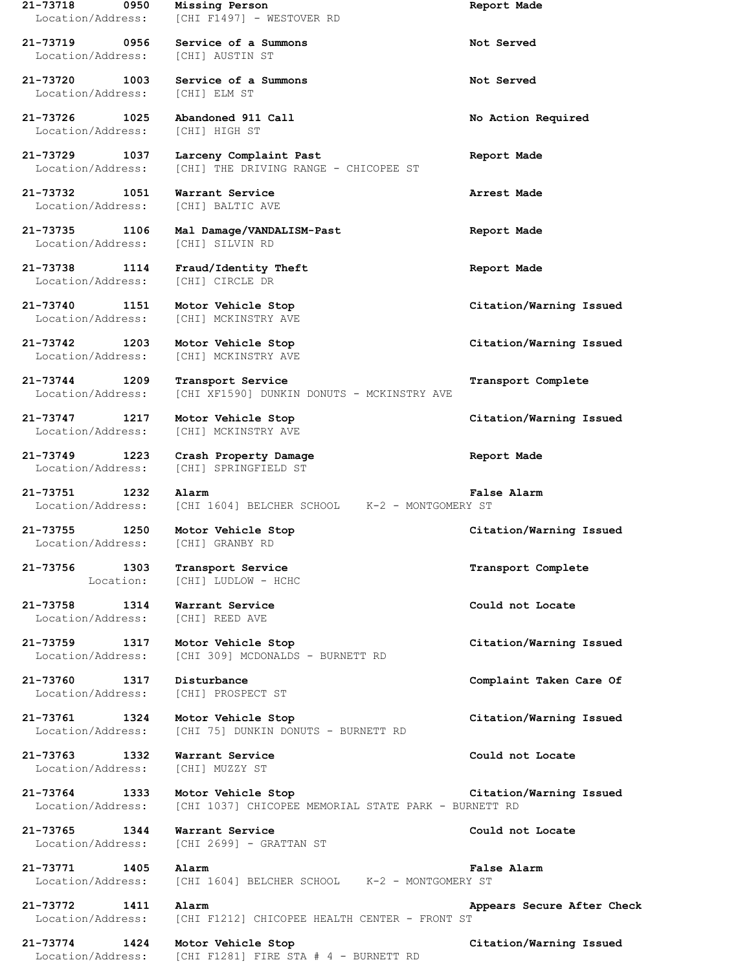**21-73718 0950 Missing Person Report Made** Location/Address: [CHI F1497] - WESTOVER RD **21-73719 0956 Service of a Summons Not Served** Location/Address: [CHI] AUSTIN ST **21-73720 1003 Service of a Summons Not Served** Location/Address: [CHI] ELM ST **21-73726 1025 Abandoned 911 Call No Action Required** Location/Address: [CHI] HIGH ST **21-73729 1037 Larceny Complaint Past Report Made** Location/Address: [CHI] THE DRIVING RANGE - CHICOPEE ST **21-73732 1051 Warrant Service Arrest Made** Location/Address: [CHI] BALTIC AVE **21-73735 1106 Mal Damage/VANDALISM-Past Report Made** Location/Address: [CHI] SILVIN RD **21-73738 1114 Fraud/Identity Theft Report Made** Location/Address: [CHI] CIRCLE DR **21-73740 1151 Motor Vehicle Stop Citation/Warning Issued** Location/Address: [CHI] MCKINSTRY AVE **21-73742 1203 Motor Vehicle Stop Citation/Warning Issued** Location/Address: [CHI] MCKINSTRY AVE **21-73744 1209 Transport Service Transport Complete** Location/Address: [CHI XF1590] DUNKIN DONUTS - MCKINSTRY AVE **21-73747 1217 Motor Vehicle Stop Citation/Warning Issued** Location/Address: [CHI] MCKINSTRY AVE **21-73749 1223 Crash Property Damage Report Made** Location/Address: [CHI] SPRINGFIELD ST **21-73751 1232 Alarm False Alarm** Location/Address: [CHI 1604] BELCHER SCHOOL K-2 - MONTGOMERY ST **21-73755 1250 Motor Vehicle Stop Citation/Warning Issued** Location/Address: [CHI] GRANBY RD **21-73756 1303 Transport Service Transport Complete** Location: [CHI] LUDLOW - HCHC **21-73758 1314 Warrant Service Could not Locate** Location/Address: [CHI] REED AVE **21-73759 1317 Motor Vehicle Stop Citation/Warning Issued** Location/Address: [CHI 309] MCDONALDS - BURNETT RD **21-73760 1317 Disturbance Complaint Taken Care Of** Location/Address: [CHI] PROSPECT ST **21-73761 1324 Motor Vehicle Stop Citation/Warning Issued** Location/Address: [CHI 75] DUNKIN DONUTS - BURNETT RD **21-73763 1332 Warrant Service Could not Locate** Location/Address: [CHI] MUZZY ST **21-73764 1333 Motor Vehicle Stop Citation/Warning Issued** Location/Address: [CHI 1037] CHICOPEE MEMORIAL STATE PARK - BURNETT RD **21-73765 1344 Warrant Service Could not Locate** Location/Address: [CHI 2699] - GRATTAN ST **21-73771 1405 Alarm False Alarm** Location/Address: [CHI 1604] BELCHER SCHOOL K-2 - MONTGOMERY ST **21-73772 1411 Alarm Appears Secure After Check** Location/Address: [CHI F1212] CHICOPEE HEALTH CENTER - FRONT ST **21-73774 1424 Motor Vehicle Stop Citation/Warning Issued**

Location/Address: [CHI F1281] FIRE STA # 4 - BURNETT RD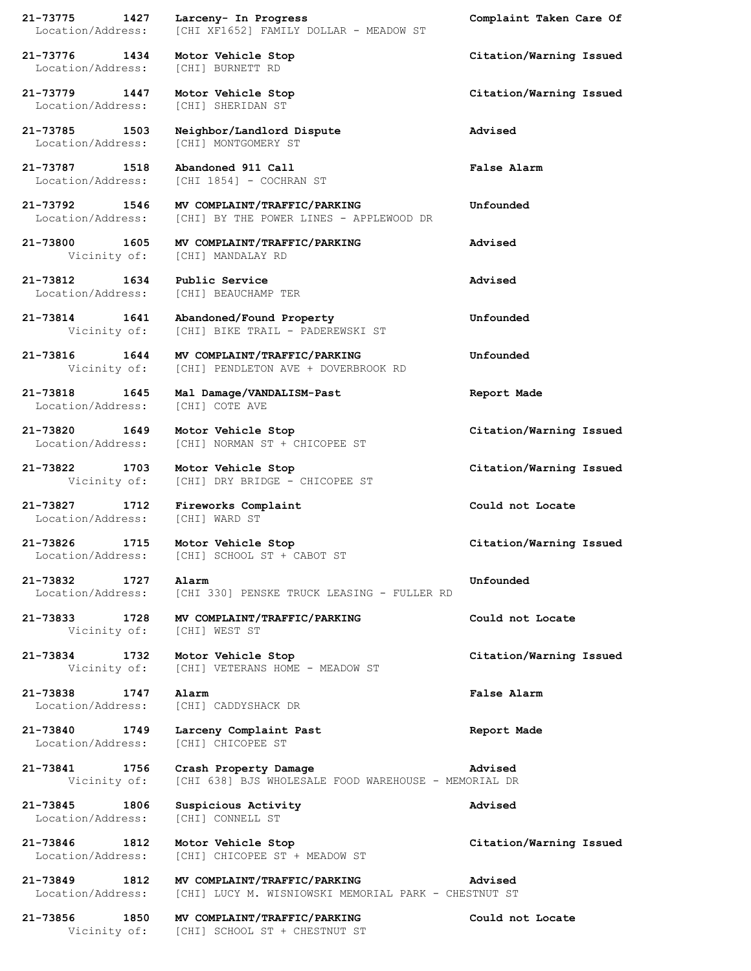|                                                                        | 21-73775 1427 Larceny- In Progress<br>Location/Address: [CHI XF1652] FAMILY DOLLAR - MEADOW ST                       | Complaint Taken Care Of |
|------------------------------------------------------------------------|----------------------------------------------------------------------------------------------------------------------|-------------------------|
| 21-73776 1434 Motor Vehicle Stop<br>Location/Address: [CHI] BURNETT RD |                                                                                                                      | Citation/Warning Issued |
| Location/Address: [CHI] SHERIDAN ST                                    | 21-73779 1447 Motor Vehicle Stop                                                                                     | Citation/Warning Issued |
| 21-73785 1503                                                          | Neighbor/Landlord Dispute<br>Location/Address: [CHI] MONTGOMERY ST                                                   | Advised                 |
|                                                                        | 21-73787    1518    Abandoned 911    Call<br>Location/Address: [CHI 1854] - COCHRAN ST                               | <b>False Alarm</b>      |
|                                                                        | 21-73792 1546 MV COMPLAINT/TRAFFIC/PARKING<br>Location/Address: [CHI] BY THE POWER LINES - APPLEWOOD DR              | Unfounded               |
|                                                                        | 21-73800 1605 MV COMPLAINT/TRAFFIC/PARKING<br>Vicinity of: [CHI] MANDALAY RD                                         | Advised                 |
| 21-73812 1634 Public Service                                           | Location/Address: [CHI] BEAUCHAMP TER                                                                                | Advised                 |
|                                                                        | 21-73814 1641 Abandoned/Found Property<br>Vicinity of: [CHI] BIKE TRAIL - PADEREWSKI ST                              | Unfounded               |
|                                                                        | 21-73816 1644 MV COMPLAINT/TRAFFIC/PARKING<br>Vicinity of: [CHI] PENDLETON AVE + DOVERBROOK RD                       | Unfounded               |
| Location/Address: [CHI] COTE AVE                                       | 21-73818 1645 Mal Damage/VANDALISM-Past                                                                              | Report Made             |
|                                                                        | 21-73820 1649 Motor Vehicle Stop<br>Location/Address: [CHI] NORMAN ST + CHICOPEE ST                                  | Citation/Warning Issued |
|                                                                        | 21-73822 1703 Motor Vehicle Stop<br>Vicinity of: [CHI] DRY BRIDGE - CHICOPEE ST                                      | Citation/Warning Issued |
| Location/Address: [CHI] WARD ST                                        | 21-73827 1712 Fireworks Complaint                                                                                    | Could not Locate        |
|                                                                        | 21-73826 1715 Motor Vehicle Stop<br>Location/Address: [CHI] SCHOOL ST + CABOT ST                                     | Citation/Warning Issued |
| 21-73832 1727                                                          | Alarm<br>Location/Address: [CHI 330] PENSKE TRUCK LEASING - FULLER RD                                                | Unfounded               |
|                                                                        | 21-73833 1728 MV COMPLAINT/TRAFFIC/PARKING<br>Vicinity of: [CHI] WEST ST                                             | Could not Locate        |
| 21-73834 1732 Motor Vehicle Stop                                       | Vicinity of: [CHI] VETERANS HOME - MEADOW ST                                                                         | Citation/Warning Issued |
| 21-73838 1747 Alarm                                                    | Location/Address: [CHI] CADDYSHACK DR                                                                                | <b>False Alarm</b>      |
| Location/Address: [CHI] CHICOPEE ST                                    | 21-73840 1749 Larceny Complaint Past                                                                                 | Report Made             |
|                                                                        | 21-73841 1756 Crash Property Damage<br>Vicinity of: [CHI 638] BJS WHOLESALE FOOD WAREHOUSE - MEMORIAL DR             | Advised                 |
| Location/Address: [CHI] CONNELL ST                                     | 21-73845 1806 Suspicious Activity                                                                                    | Advised                 |
|                                                                        | 21-73846 1812 Motor Vehicle Stop<br>Location/Address: [CHI] CHICOPEE ST + MEADOW ST                                  | Citation/Warning Issued |
|                                                                        | 21-73849 1812 MV COMPLAINT/TRAFFIC/PARKING<br>Location/Address: [CHI] LUCY M. WISNIOWSKI MEMORIAL PARK - CHESTNUT ST | Advised                 |
|                                                                        | 21-73856 1850 MV COMPLAINT/TRAFFIC/PARKING<br>Vicinity of: [CHI] SCHOOL ST + CHESTNUT ST                             | Could not Locate        |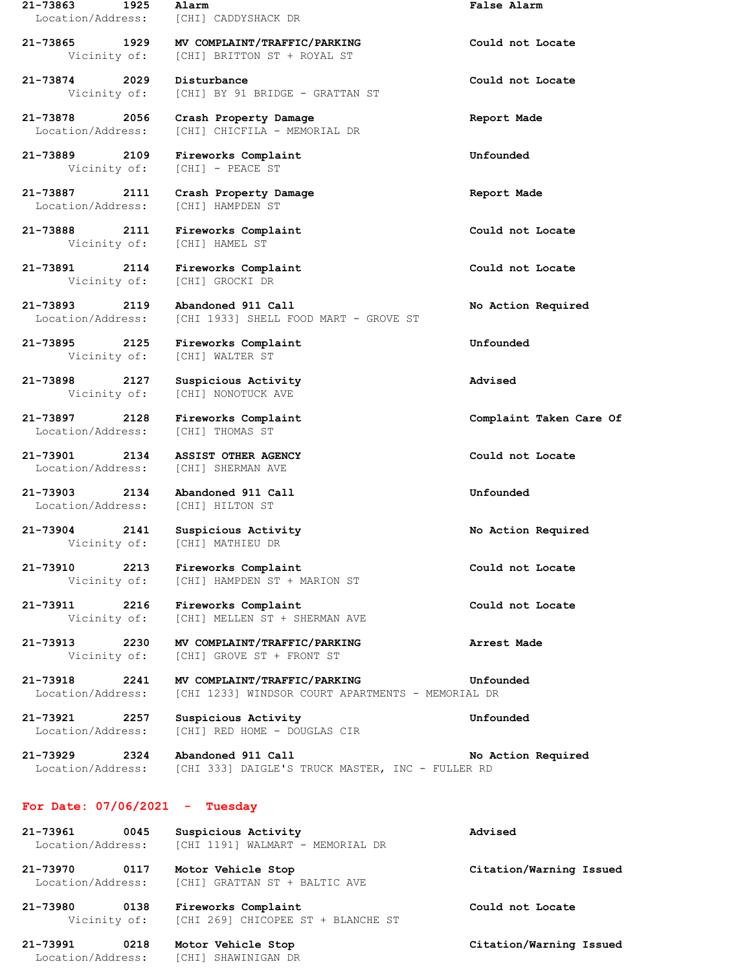| 21-73863 1925<br>Location/Address: |      | Alarm<br>[CHI] CADDYSHACK DR                                                                           | <b>False Alarm</b>      |
|------------------------------------|------|--------------------------------------------------------------------------------------------------------|-------------------------|
| 21-73865 1929<br>Vicinity of:      |      | MV COMPLAINT/TRAFFIC/PARKING<br>[CHI] BRITTON ST + ROYAL ST                                            | Could not Locate        |
| 21-73874 2029<br>Vicinity of:      |      | Disturbance<br>[CHI] BY 91 BRIDGE - GRATTAN ST                                                         | Could not Locate        |
| 21-73878<br>Location/Address:      | 2056 | Crash Property Damage<br>[CHI] CHICFILA - MEMORIAL DR                                                  | Report Made             |
| 21-73889 2109<br>Vicinity of:      |      | Fireworks Complaint<br>[CHI] - PEACE ST                                                                | Unfounded               |
| 21-73887 2111<br>Location/Address: |      | Crash Property Damage<br>[CHI] HAMPDEN ST                                                              | Report Made             |
| 21-73888 2111                      |      | Fireworks Complaint<br>Vicinity of: [CHI] HAMEL ST                                                     | Could not Locate        |
| 21-73891                           | 2114 | Fireworks Complaint<br>Vicinity of: [CHI] GROCKI DR                                                    | Could not Locate        |
| 21-73893<br>Location/Address:      | 2119 | Abandoned 911 Call<br>[CHI 1933] SHELL FOOD MART - GROVE ST                                            | No Action Required      |
| 21-73895 2125<br>Vicinity of:      |      | Fireworks Complaint<br>[CHI] WALTER ST                                                                 | Unfounded               |
| 21-73898<br>Vicinity of:           | 2127 | Suspicious Activity<br>[CHI] NONOTUCK AVE                                                              | Advised                 |
| 21-73897 2128<br>Location/Address: |      | Fireworks Complaint<br>[CHI] THOMAS ST                                                                 | Complaint Taken Care Of |
| 21-73901                           | 2134 | ASSIST OTHER AGENCY<br>Location/Address: [CHI] SHERMAN AVE                                             | Could not Locate        |
| 21-73903                           |      | 2134 Abandoned 911 Call<br>Location/Address: [CHI] HILTON ST                                           | Unfounded               |
| 21-73904                           | 2141 | Suspicious Activity<br>Vicinity of: [CHI] MATHIEU DR                                                   | No Action Required      |
| 21-73910 2213                      |      | Fireworks Complaint<br>Vicinity of: [CHI] HAMPDEN ST + MARION ST                                       | Could not Locate        |
|                                    |      | 21-73911 2216 Fireworks Complaint<br>Vicinity of: [CHI] MELLEN ST + SHERMAN AVE                        | Could not Locate        |
| 21-73913 2230<br>Vicinity of:      |      | MV COMPLAINT/TRAFFIC/PARKING<br>[CHI] GROVE ST + FRONT ST                                              | Arrest Made             |
| 21-73918 2241<br>Location/Address: |      | MV COMPLAINT/TRAFFIC/PARKING<br>[CHI 1233] WINDSOR COURT APARTMENTS - MEMORIAL DR                      | Unfounded               |
| Location/Address:                  |      | 21-73921 2257 Suspicious Activity<br>[CHI] RED HOME - DOUGLAS CIR                                      | Unfounded               |
|                                    |      | 21-73929 2324 Abandoned 911 Call<br>Location/Address: [CHI 333] DAIGLE'S TRUCK MASTER, INC - FULLER RD | No Action Required      |
| For Date: $07/06/2021$ - Tuesday   |      |                                                                                                        |                         |
| 21-73961<br>Location/Address:      | 0045 | Suspicious Activity<br>[CHI 1191] WALMART - MEMORIAL DR                                                | Advised                 |
| Location/Address:                  |      | 21-73970 0117 Motor Vehicle Stop<br>[CHI] GRATTAN ST + BALTIC AVE                                      | Citation/Warning Issued |
|                                    |      | 21-73980 0138 Fireworks Complaint<br>Vicinity of: [CHI 269] CHICOPEE ST + BLANCHE ST                   | Could not Locate        |

**21-73991 0218 Motor Vehicle Stop Citation/Warning Issued** Location/Address: [CHI] SHAWINIGAN DR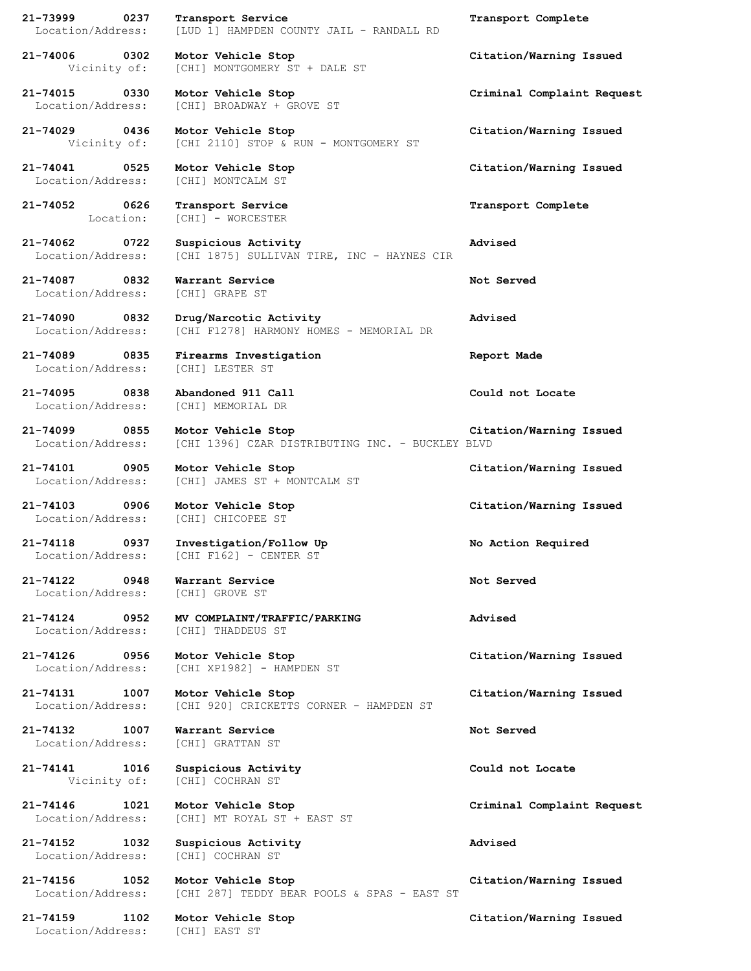**21-73999 0237 Transport Service Transport Complete** Location/Address: [LUD 1] HAMPDEN COUNTY JAIL - RANDALL RD

Vicinity of: [CHI] MONTGOMERY ST + DALE ST

**21-74015 0330 Motor Vehicle Stop Criminal Complaint Request** Location/Address: [CHI] BROADWAY + GROVE ST

**21-74029 0436 Motor Vehicle Stop Citation/Warning Issued** Vicinity of: [CHI 2110] STOP & RUN - MONTGOMERY ST

Location/Address: [CHI] MONTCALM ST

**21-74052 0626 Transport Service Transport Complete** Location: [CHI] - WORCESTER

**21-74062 0722 Suspicious Activity Advised** Location/Address: [CHI 1875] SULLIVAN TIRE, INC - HAYNES CIR

**21-74087 0832 Warrant Service Not Served** Location/Address: [CHI] GRAPE ST

**21-74090 0832 Drug/Narcotic Activity Advised** Location/Address: [CHI F1278] HARMONY HOMES - MEMORIAL DR

**21-74089 0835 Firearms Investigation Report Made** Location/Address: [CHI] LESTER ST

**21-74095 0838 Abandoned 911 Call Could not Locate** Location/Address: [CHI] MEMORIAL DR

Location/Address: [CHI] JAMES ST + MONTCALM ST

Location/Address: [CHI] CHICOPEE ST

Location/Address: [CHI F162] - CENTER ST

**21-74122 0948 Warrant Service Not Served** Location/Address: [CHI] GROVE ST

**21-74124 0952 MV COMPLAINT/TRAFFIC/PARKING Advised** Location/Address: [CHI] THADDEUS ST

Location/Address: [CHI XP1982] - HAMPDEN ST

Location/Address: [CHI 920] CRICKETTS CORNER - HAMPDEN ST

**21-74132 1007 Warrant Service Not Served** Location/Address: [CHI] GRATTAN ST

**21-74141 1016 Suspicious Activity Could not Locate** Vicinity of: [CHI] COCHRAN ST

**21-74146 1021 Motor Vehicle Stop Criminal Complaint Request** Location/Address: [CHI] MT ROYAL ST + EAST ST

**21-74152 1032 Suspicious Activity Advised** Location/Address: [CHI] COCHRAN ST

Location/Address: [CHI 287] TEDDY BEAR POOLS & SPAS - EAST ST

Location/Address: [CHI] EAST ST

**21-74006 0302 Motor Vehicle Stop Citation/Warning Issued**

**21-74041 0525 Motor Vehicle Stop Citation/Warning Issued**

**21-74099 0855 Motor Vehicle Stop Citation/Warning Issued** Location/Address: [CHI 1396] CZAR DISTRIBUTING INC. - BUCKLEY BLVD

**21-74101 0905 Motor Vehicle Stop Citation/Warning Issued**

**21-74103 0906 Motor Vehicle Stop Citation/Warning Issued**

**21-74118 0937 Investigation/Follow Up No Action Required**

**21-74126 0956 Motor Vehicle Stop Citation/Warning Issued**

**21-74131 1007 Motor Vehicle Stop Citation/Warning Issued**

**21-74156 1052 Motor Vehicle Stop Citation/Warning Issued**

**21-74159 1102 Motor Vehicle Stop Citation/Warning Issued**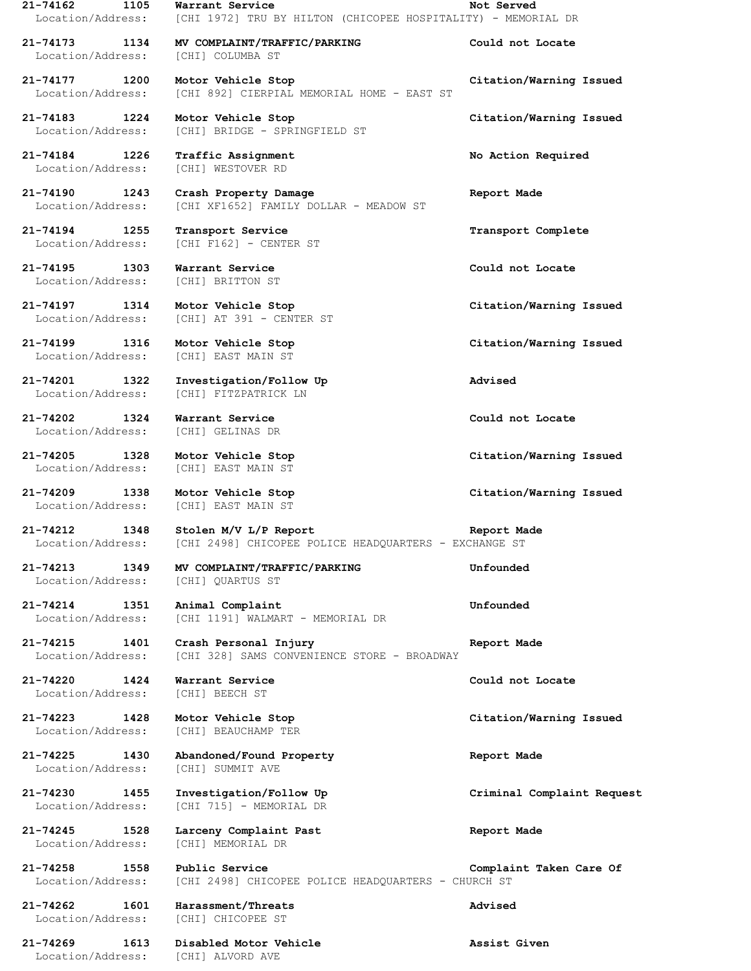**21-74162 1105 Warrant Service Not Served** Location/Address: [CHI 1972] TRU BY HILTON (CHICOPEE HOSPITALITY) - MEMORIAL DR **21-74173 1134 MV COMPLAINT/TRAFFIC/PARKING Could not Locate** Location/Address: [CHI] COLUMBA ST **21-74177 1200 Motor Vehicle Stop Citation/Warning Issued** Location/Address: [CHI 892] CIERPIAL MEMORIAL HOME - EAST ST **21-74183 1224 Motor Vehicle Stop Citation/Warning Issued** Location/Address: [CHI] BRIDGE - SPRINGFIELD ST **21-74184 1226 Traffic Assignment No Action Required** Location/Address: [CHI] WESTOVER RD **21-74190 1243 Crash Property Damage Report Made** Location/Address: [CHI XF1652] FAMILY DOLLAR - MEADOW ST **21-74194 1255 Transport Service Transport Complete** Location/Address: [CHI F162] - CENTER ST **21-74195 1303 Warrant Service Could not Locate** Location/Address: [CHI] BRITTON ST **21-74197 1314 Motor Vehicle Stop Citation/Warning Issued** Location/Address: [CHI] AT 391 - CENTER ST **21-74199 1316 Motor Vehicle Stop Citation/Warning Issued** Location/Address: [CHI] EAST MAIN ST **21-74201 1322 Investigation/Follow Up Advised** Location/Address: [CHI] FITZPATRICK LN **21-74202 1324 Warrant Service Could not Locate** Location/Address: [CHI] GELINAS DR **21-74205 1328 Motor Vehicle Stop Citation/Warning Issued** Location/Address: [CHI] EAST MAIN ST **21-74209 1338 Motor Vehicle Stop Citation/Warning Issued** Location/Address: [CHI] EAST MAIN ST **21-74212 1348 Stolen M/V L/P Report Report Made** Location/Address: [CHI 2498] CHICOPEE POLICE HEADQUARTERS - EXCHANGE ST **21-74213 1349 MV COMPLAINT/TRAFFIC/PARKING Unfounded** Location/Address: [CHI] QUARTUS ST **21-74214 1351 Animal Complaint Unfounded** Location/Address: [CHI 1191] WALMART - MEMORIAL DR **21-74215 1401 Crash Personal Injury Report Made** Location/Address: [CHI 328] SAMS CONVENIENCE STORE - BROADWAY **21-74220 1424 Warrant Service Could not Locate** Location/Address: [CHI] BEECH ST **21-74223 1428 Motor Vehicle Stop Citation/Warning Issued** Location/Address: [CHI] BEAUCHAMP TER **21-74225 1430 Abandoned/Found Property Report Made** Location/Address: [CHI] SUMMIT AVE **21-74230 1455 Investigation/Follow Up Criminal Complaint Request** Location/Address: [CHI 715] - MEMORIAL DR **21-74245 1528 Larceny Complaint Past Report Made** Location/Address: [CHI] MEMORIAL DR **21-74258 1558 Public Service Complaint Taken Care Of** Location/Address: [CHI 2498] CHICOPEE POLICE HEADQUARTERS - CHURCH ST **21-74262 1601 Harassment/Threats Advised** Location/Address: [CHI] CHICOPEE ST

**21-74269 1613 Disabled Motor Vehicle Assist Given** Location/Address: [CHI] ALVORD AVE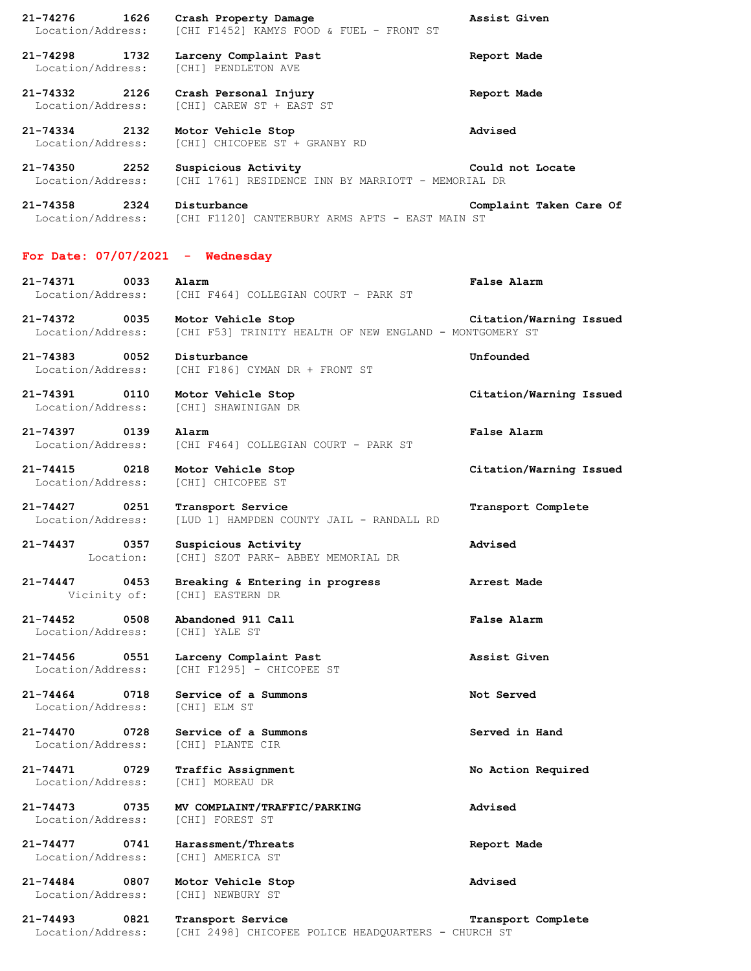**21-74276 1626 Crash Property Damage Assist Given** Location/Address: [CHI F1452] KAMYS FOOD & FUEL - FRONT ST **21-74298 1732 Larceny Complaint Past Report Made** Location/Address: [CHI] PENDLETON AVE **21-74332 2126 Crash Personal Injury Report Made** Location/Address: [CHI] CAREW ST + EAST ST **21-74334 2132 Motor Vehicle Stop Advised** Location/Address: [CHI] CHICOPEE ST + GRANBY RD **21-74350 2252 Suspicious Activity Could not Locate** Location/Address: [CHI 1761] RESIDENCE INN BY MARRIOTT - MEMORIAL DR **21-74358 2324 Disturbance Complaint Taken Care Of** Location/Address: [CHI F1120] CANTERBURY ARMS APTS - EAST MAIN ST **For Date: 07/07/2021 - Wednesday 21-74371 0033 Alarm False Alarm** Location/Address: [CHI F464] COLLEGIAN COURT - PARK ST **21-74372 0035 Motor Vehicle Stop Citation/Warning Issued** Location/Address: [CHI F53] TRINITY HEALTH OF NEW ENGLAND - MONTGOMERY ST **21-74383 0052 Disturbance Unfounded** Location/Address: [CHI F186] CYMAN DR + FRONT ST **21-74391 0110 Motor Vehicle Stop Citation/Warning Issued** Location/Address: [CHI] SHAWINIGAN DR **21-74397 0139 Alarm False Alarm** Location/Address: [CHI F464] COLLEGIAN COURT - PARK ST **21-74415 0218 Motor Vehicle Stop Citation/Warning Issued** Location/Address: [CHI] CHICOPEE ST **21-74427 0251 Transport Service Transport Complete** Location/Address: [LUD 1] HAMPDEN COUNTY JAIL - RANDALL RD **21-74437 0357 Suspicious Activity Advised** Location: [CHI] SZOT PARK- ABBEY MEMORIAL DR **21-74447 0453 Breaking & Entering in progress Arrest Made** Vicinity of: [CHI] EASTERN DR **21-74452 0508 Abandoned 911 Call False Alarm** Location/Address: [CHI] YALE ST **21-74456 0551 Larceny Complaint Past Assist Given** Location/Address: [CHI F1295] - CHICOPEE ST **21-74464 0718 Service of a Summons Not Served** Location/Address: [CHI] ELM ST **21-74470 0728 Service of a Summons Served in Hand** Location/Address: [CHI] PLANTE CIR **21-74471 0729 Traffic Assignment No Action Required** Location/Address: [CHI] MOREAU DR **21-74473 0735 MV COMPLAINT/TRAFFIC/PARKING Advised** Location/Address: [CHI] FOREST ST **21-74477 0741 Harassment/Threats Report Made** Location/Address: [CHI] AMERICA ST **21-74484 0807 Motor Vehicle Stop Advised** Location/Address: [CHI] NEWBURY ST **21-74493 0821 Transport Service Transport Complete**

Location/Address: [CHI 2498] CHICOPEE POLICE HEADQUARTERS - CHURCH ST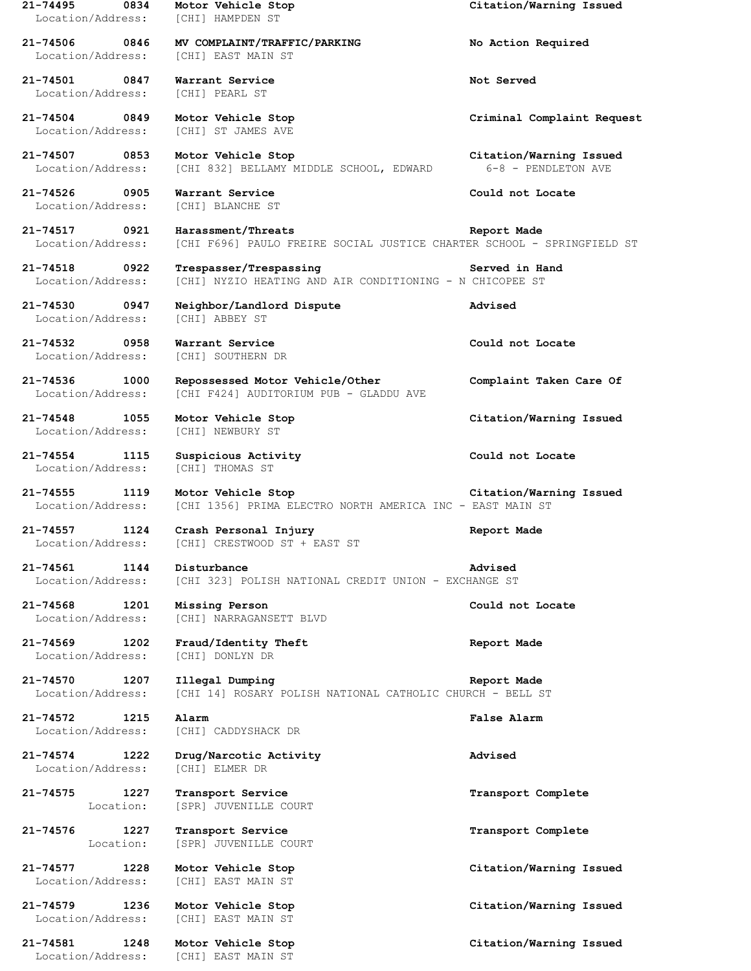| $21 - 74495$<br>0834<br>Location/Address: | Motor Vehicle Stop<br>[CHI] HAMPDEN ST                                                       | Citation/Warning Issued                        |
|-------------------------------------------|----------------------------------------------------------------------------------------------|------------------------------------------------|
| 21-74506<br>0846<br>Location/Address:     | MV COMPLAINT/TRAFFIC/PARKING<br>[CHI] EAST MAIN ST                                           | No Action Required                             |
| $21 - 74501$<br>0847<br>Location/Address: | Warrant Service<br>[CHI] PEARL ST                                                            | Not Served                                     |
| 21-74504<br>0849<br>Location/Address:     | Motor Vehicle Stop<br>[CHI] ST JAMES AVE                                                     | Criminal Complaint Request                     |
| 21-74507 0853<br>Location/Address:        | Motor Vehicle Stop<br>[CHI 832] BELLAMY MIDDLE SCHOOL, EDWARD                                | Citation/Warning Issued<br>6-8 - PENDLETON AVE |
| 21-74526<br>0905<br>Location/Address:     | Warrant Service<br>[CHI] BLANCHE ST                                                          | Could not Locate                               |
| 21-74517<br>0921<br>Location/Address:     | Harassment/Threats<br>[CHI F696] PAULO FREIRE SOCIAL JUSTICE CHARTER SCHOOL - SPRINGFIELD ST | Report Made                                    |
| 21-74518 0922<br>Location/Address:        | Trespasser/Trespassing<br>[CHI] NYZIO HEATING AND AIR CONDITIONING - N CHICOPEE ST           | Served in Hand                                 |
| 0947<br>21-74530<br>Location/Address:     | Neighbor/Landlord Dispute<br><b>[CHI] ABBEY ST</b>                                           | Advised                                        |
| 21-74532<br>0958<br>Location/Address:     | Warrant Service<br>[CHI] SOUTHERN DR                                                         | Could not Locate                               |
| 21-74536<br>1000<br>Location/Address:     | Repossessed Motor Vehicle/Other<br>[CHI F424] AUDITORIUM PUB - GLADDU AVE                    | Complaint Taken Care Of                        |
| 21-74548<br>1055<br>Location/Address:     | Motor Vehicle Stop<br>[CHI] NEWBURY ST                                                       | Citation/Warning Issued                        |
| $21 - 74554$<br>1115<br>Location/Address: | Suspicious Activity<br>[CHI] THOMAS ST                                                       | Could not Locate                               |
| 21-74555<br>1119<br>Location/Address:     | Motor Vehicle Stop<br>[CHI 1356] PRIMA ELECTRO NORTH AMERICA INC - EAST MAIN ST              | Citation/Warning Issued                        |
| 21-74557<br>1124<br>Location/Address:     | Crash Personal Injury<br>[CHI] CRESTWOOD ST + EAST ST                                        | Report Made                                    |
| 1144<br>21-74561<br>Location/Address:     | Disturbance<br>[CHI 323] POLISH NATIONAL CREDIT UNION - EXCHANGE ST                          | Advised                                        |
| 21-74568<br>1201<br>Location/Address:     | Missing Person<br>[CHI] NARRAGANSETT BLVD                                                    | Could not Locate                               |
| 21-74569<br>1202<br>Location/Address:     | Fraud/Identity Theft<br>[CHI] DONLYN DR                                                      | Report Made                                    |
| 21-74570<br>1207<br>Location/Address:     | Illegal Dumping<br>[CHI 14] ROSARY POLISH NATIONAL CATHOLIC CHURCH - BELL ST                 | Report Made                                    |
| 21-74572<br>1215<br>Location/Address:     | Alarm<br>[CHI] CADDYSHACK DR                                                                 | False Alarm                                    |
| $21 - 74574$<br>1222<br>Location/Address: | Drug/Narcotic Activity<br>[CHI] ELMER DR                                                     | Advised                                        |
| $21 - 74575$<br>1227<br>Location:         | Transport Service<br>[SPR] JUVENILLE COURT                                                   | Transport Complete                             |
| 1227<br>21-74576<br>Location:             | Transport Service<br>[SPR] JUVENILLE COURT                                                   | Transport Complete                             |
| $21 - 74577$<br>1228<br>Location/Address: | Motor Vehicle Stop<br>[CHI] EAST MAIN ST                                                     | Citation/Warning Issued                        |
| 21-74579<br>1236<br>Location/Address:     | Motor Vehicle Stop<br>[CHI] EAST MAIN ST                                                     | Citation/Warning Issued                        |
| 21-74581<br>1248                          | Motor Vehicle Stop<br>[CHI] EAST MAIN ST                                                     | Citation/Warning Issued                        |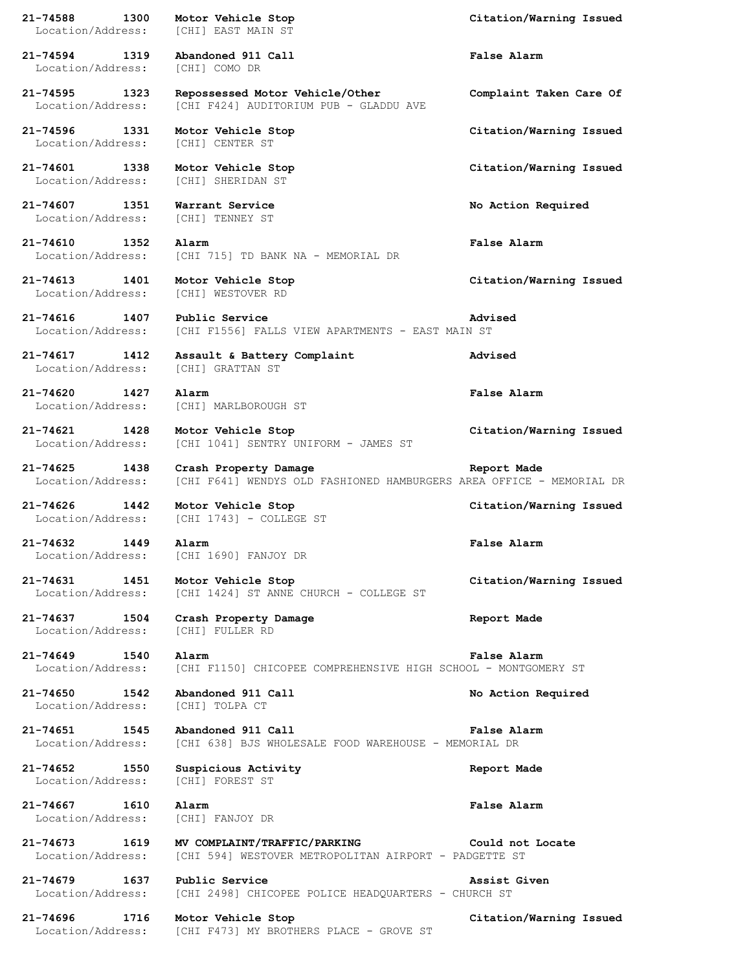**21-74588 1300 Motor Vehicle Stop Citation/Warning Issued** Location/Address: [CHI] EAST MAIN ST **21-74594 1319 Abandoned 911 Call False Alarm** Location/Address: [CHI] COMO DR **21-74595 1323 Repossessed Motor Vehicle/Other Complaint Taken Care Of** Location/Address: [CHI F424] AUDITORIUM PUB - GLADDU AVE **21-74596 1331 Motor Vehicle Stop Citation/Warning Issued** Location/Address: [CHI] CENTER ST **21-74601 1338 Motor Vehicle Stop Citation/Warning Issued** Location/Address: [CHI] SHERIDAN ST **21-74607 1351 Warrant Service No Action Required** Location/Address: [CHI] TENNEY ST **21-74610 1352 Alarm False Alarm** Location/Address: [CHI 715] TD BANK NA - MEMORIAL DR **21-74613 1401 Motor Vehicle Stop Citation/Warning Issued** Location/Address: [CHI] WESTOVER RD **21-74616 1407 Public Service Advised** Location/Address: [CHI F1556] FALLS VIEW APARTMENTS - EAST MAIN ST **21-74617 1412 Assault & Battery Complaint Advised** Location/Address: [CHI] GRATTAN ST **21-74620 1427 Alarm False Alarm** Location/Address: [CHI] MARLBOROUGH ST **21-74621 1428 Motor Vehicle Stop Citation/Warning Issued** Location/Address: [CHI 1041] SENTRY UNIFORM - JAMES ST **21-74625 1438 Crash Property Damage Report Made** Location/Address: [CHI F641] WENDYS OLD FASHIONED HAMBURGERS AREA OFFICE - MEMORIAL DR **21-74626 1442 Motor Vehicle Stop Citation/Warning Issued** Location/Address: [CHI 1743] - COLLEGE ST **21-74632 1449 Alarm False Alarm** Location/Address: [CHI 1690] FANJOY DR **21-74631 1451 Motor Vehicle Stop Citation/Warning Issued** Location/Address: [CHI 1424] ST ANNE CHURCH - COLLEGE ST **21-74637 1504 Crash Property Damage Report Made** Location/Address: [CHI] FULLER RD **21-74649 1540 Alarm False Alarm** Location/Address: [CHI F1150] CHICOPEE COMPREHENSIVE HIGH SCHOOL - MONTGOMERY ST **21-74650 1542 Abandoned 911 Call No Action Required** Location/Address: [CHI] TOLPA CT **21-74651 1545 Abandoned 911 Call False Alarm** Location/Address: [CHI 638] BJS WHOLESALE FOOD WAREHOUSE - MEMORIAL DR **21-74652 1550 Suspicious Activity Report Made** Location/Address: [CHI] FOREST ST **21-74667 1610 Alarm False Alarm** Location/Address: [CHI] FANJOY DR **21-74673 1619 MV COMPLAINT/TRAFFIC/PARKING Could not Locate** Location/Address: [CHI 594] WESTOVER METROPOLITAN AIRPORT - PADGETTE ST **21-74679 1637 Public Service Assist Given** Location/Address: [CHI 2498] CHICOPEE POLICE HEADQUARTERS - CHURCH ST **21-74696 1716 Motor Vehicle Stop Citation/Warning Issued** Location/Address: [CHI F473] MY BROTHERS PLACE - GROVE ST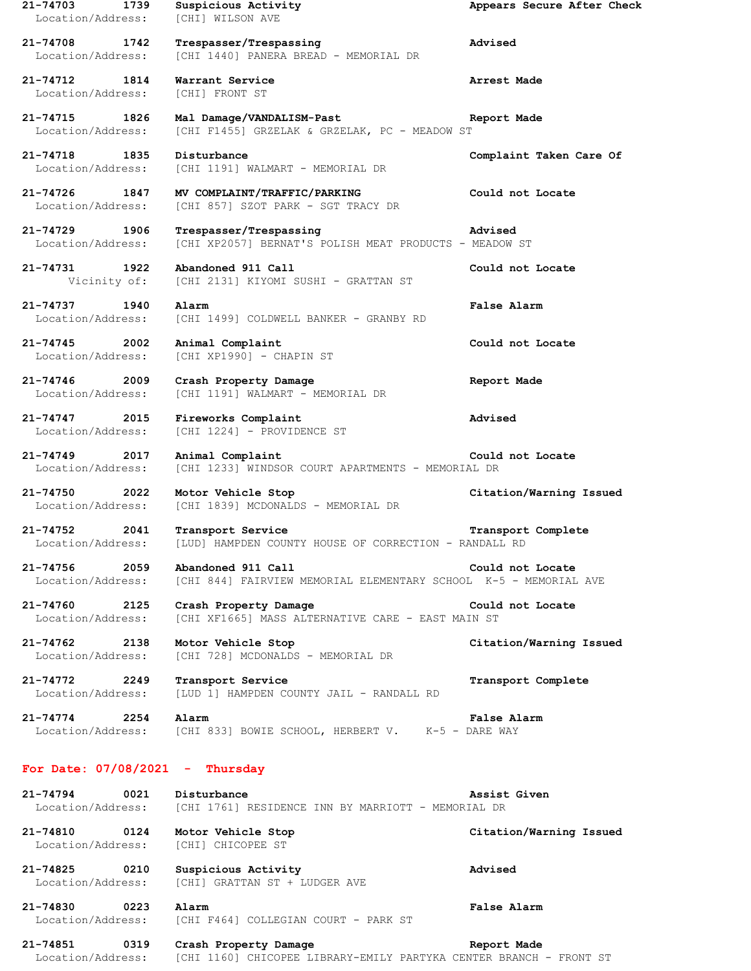**21-74703 1739 Suspicious Activity Appears Secure After Check** Location/Address: [CHI] WILSON AVE **21-74708 1742 Trespasser/Trespassing Advised** Location/Address: [CHI 1440] PANERA BREAD - MEMORIAL DR **21-74712 1814 Warrant Service Arrest Made** Location/Address: [CHI] FRONT ST **21-74715 1826 Mal Damage/VANDALISM-Past Report Made** Location/Address: [CHI F1455] GRZELAK & GRZELAK, PC - MEADOW ST **21-74718 1835 Disturbance Complaint Taken Care Of** Location/Address: [CHI 1191] WALMART - MEMORIAL DR **21-74726 1847 MV COMPLAINT/TRAFFIC/PARKING Could not Locate** Location/Address: [CHI 857] SZOT PARK - SGT TRACY DR **21-74729 1906 Trespasser/Trespassing Advised** Location/Address: [CHI XP2057] BERNAT'S POLISH MEAT PRODUCTS - MEADOW ST **21-74731 1922 Abandoned 911 Call Could not Locate** Vicinity of: [CHI 2131] KIYOMI SUSHI - GRATTAN ST **21-74737 1940 Alarm False Alarm** Location/Address: [CHI 1499] COLDWELL BANKER - GRANBY RD **21-74745 2002 Animal Complaint Could not Locate** Location/Address: [CHI XP1990] - CHAPIN ST **21-74746 2009 Crash Property Damage Report Made** Location/Address: [CHI 1191] WALMART - MEMORIAL DR **21-74747 2015 Fireworks Complaint Advised** Location/Address: [CHI 1224] - PROVIDENCE ST **21-74749 2017 Animal Complaint Could not Locate** Location/Address: [CHI 1233] WINDSOR COURT APARTMENTS - MEMORIAL DR **21-74750 2022 Motor Vehicle Stop Citation/Warning Issued** Location/Address: [CHI 1839] MCDONALDS - MEMORIAL DR **21-74752 2041 Transport Service Transport Complete** Location/Address: [LUD] HAMPDEN COUNTY HOUSE OF CORRECTION - RANDALL RD **21-74756 2059 Abandoned 911 Call Could not Locate** Location/Address: [CHI 844] FAIRVIEW MEMORIAL ELEMENTARY SCHOOL K-5 - MEMORIAL AVE **21-74760 2125 Crash Property Damage Could not Locate** Location/Address: [CHI XF1665] MASS ALTERNATIVE CARE - EAST MAIN ST **21-74762 2138 Motor Vehicle Stop Citation/Warning Issued** Location/Address: [CHI 728] MCDONALDS - MEMORIAL DR **21-74772 2249 Transport Service Transport Complete** Location/Address: [LUD 1] HAMPDEN COUNTY JAIL - RANDALL RD **21-74774 2254 Alarm False Alarm** Location/Address: [CHI 833] BOWIE SCHOOL, HERBERT V. K-5 - DARE WAY **For Date: 07/08/2021 - Thursday 21-74794 0021 Disturbance Assist Given** Location/Address: [CHI 1761] RESIDENCE INN BY MARRIOTT - MEMORIAL DR **21-74810 0124 Motor Vehicle Stop Citation/Warning Issued** Location/Address: [CHI] CHICOPEE ST **21-74825 0210 Suspicious Activity Advised** Location/Address: [CHI] GRATTAN ST + LUDGER AVE **21-74830 0223 Alarm False Alarm** Location/Address: [CHI F464] COLLEGIAN COURT - PARK ST

**21-74851 0319 Crash Property Damage Report Made** Location/Address: [CHI 1160] CHICOPEE LIBRARY-EMILY PARTYKA CENTER BRANCH - FRONT ST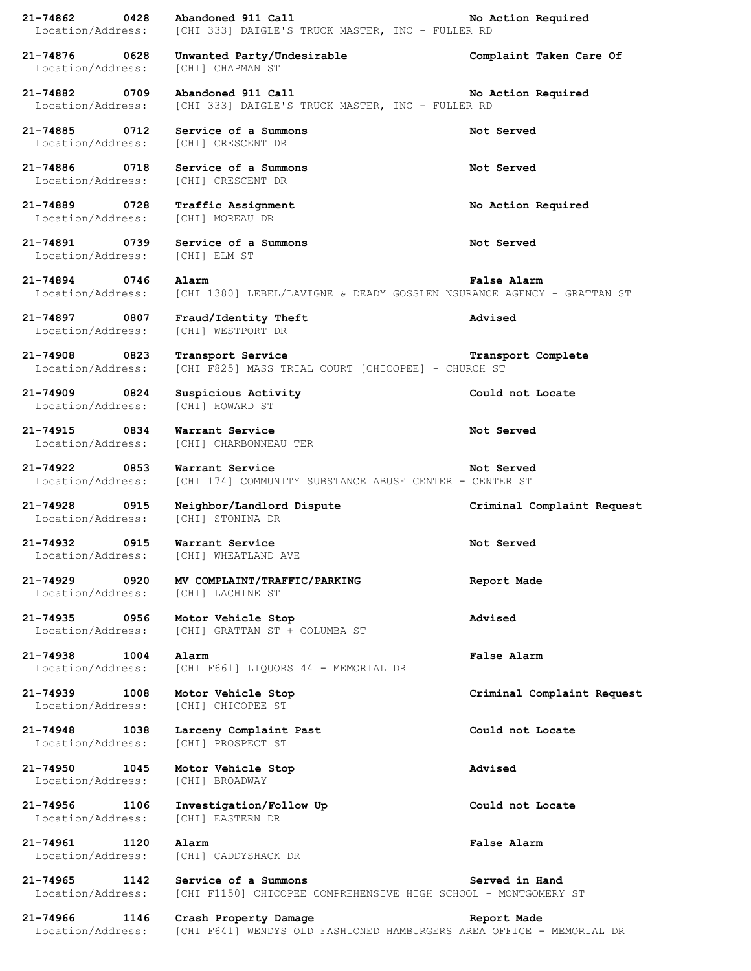**21-74862 0428 Abandoned 911 Call No Action Required** Location/Address: [CHI 333] DAIGLE'S TRUCK MASTER, INC - FULLER RD **21-74876 0628 Unwanted Party/Undesirable Complaint Taken Care Of** Location/Address: [CHI] CHAPMAN ST **21-74882 0709 Abandoned 911 Call No Action Required** Location/Address: [CHI 333] DAIGLE'S TRUCK MASTER, INC - FULLER RD **21-74885 0712 Service of a Summons Not Served** Location/Address: [CHI] CRESCENT DR **21-74886 0718 Service of a Summons Not Served** Location/Address: [CHI] CRESCENT DR **21-74889 0728 Traffic Assignment No Action Required** Location/Address: [CHI] MOREAU DR **21-74891 0739 Service of a Summons Not Served** Location/Address: [CHI] ELM ST **21-74894 0746 Alarm False Alarm** Location/Address: [CHI 1380] LEBEL/LAVIGNE & DEADY GOSSLEN NSURANCE AGENCY - GRATTAN ST **21-74897 0807 Fraud/Identity Theft Advised** Location/Address: [CHI] WESTPORT DR **21-74908 0823 Transport Service Transport Complete** Location/Address: [CHI F825] MASS TRIAL COURT [CHICOPEE] - CHURCH ST **21-74909 0824 Suspicious Activity Could not Locate** Location/Address: [CHI] HOWARD ST **21-74915 0834 Warrant Service Not Served** Location/Address: [CHI] CHARBONNEAU TER **21-74922 0853 Warrant Service Not Served** Location/Address: [CHI 174] COMMUNITY SUBSTANCE ABUSE CENTER - CENTER ST **21-74928 0915 Neighbor/Landlord Dispute Criminal Complaint Request** Location/Address: [CHI] STONINA DR **21-74932 0915 Warrant Service Not Served** Location/Address: [CHI] WHEATLAND AVE **21-74929 0920 MV COMPLAINT/TRAFFIC/PARKING Report Made** Location/Address: [CHI] LACHINE ST **21-74935 0956 Motor Vehicle Stop Advised** Location/Address: [CHI] GRATTAN ST + COLUMBA ST **21-74938 1004 Alarm False Alarm** Location/Address: [CHI F661] LIQUORS 44 - MEMORIAL DR **21-74939 1008 Motor Vehicle Stop Criminal Complaint Request** Location/Address: [CHI] CHICOPEE ST **21-74948 1038 Larceny Complaint Past Could not Locate** Location/Address: [CHI] PROSPECT ST **21-74950 1045 Motor Vehicle Stop Advised** Location/Address: [CHI] BROADWAY **21-74956 1106 Investigation/Follow Up Could not Locate** Location/Address: [CHI] EASTERN DR **21-74961 1120 Alarm False Alarm** Location/Address: [CHI] CADDYSHACK DR **21-74965 1142 Service of a Summons Served in Hand** Location/Address: [CHI F1150] CHICOPEE COMPREHENSIVE HIGH SCHOOL - MONTGOMERY ST **21-74966 1146 Crash Property Damage Report Made** Location/Address: [CHI F641] WENDYS OLD FASHIONED HAMBURGERS AREA OFFICE - MEMORIAL DR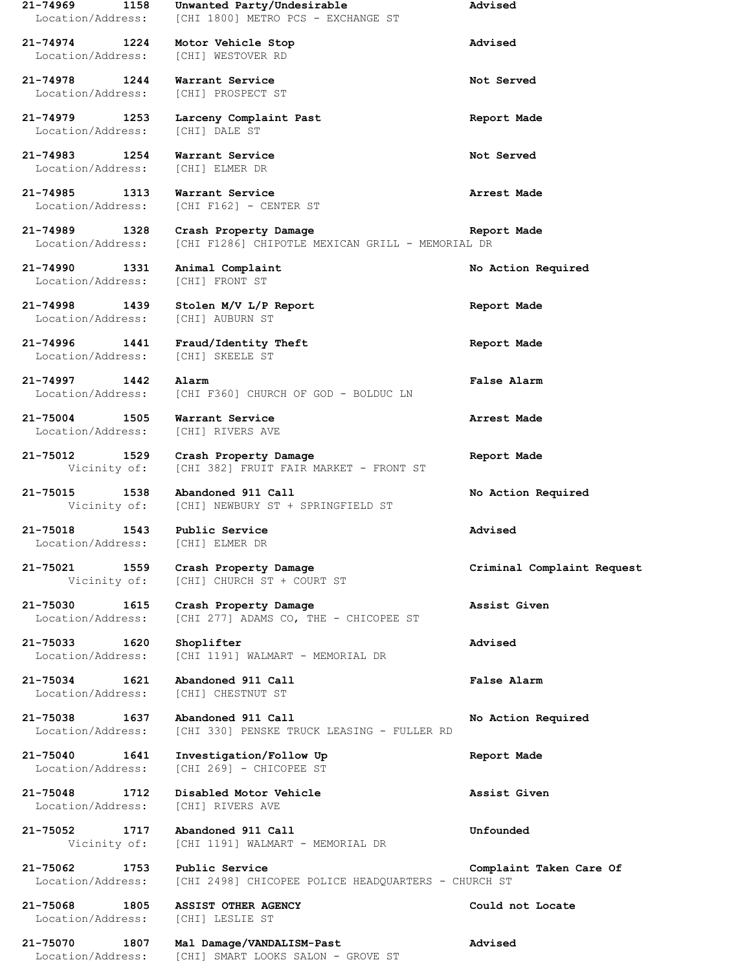| 21-74969<br>1158<br>Location/Address: | Unwanted Party/Undesirable<br>[CHI 1800] METRO PCS - EXCHANGE ST          | Advised                    |
|---------------------------------------|---------------------------------------------------------------------------|----------------------------|
| 21-74974<br>1224<br>Location/Address: | Motor Vehicle Stop<br>[CHI] WESTOVER RD                                   | Advised                    |
| 21-74978<br>1244<br>Location/Address: | Warrant Service<br>[CHI] PROSPECT ST                                      | Not Served                 |
| 21-74979<br>1253<br>Location/Address: | Larceny Complaint Past<br>[CHI] DALE ST                                   | Report Made                |
| 21-74983<br>1254<br>Location/Address: | Warrant Service<br>[CHI] ELMER DR                                         | Not Served                 |
| 21-74985<br>1313<br>Location/Address: | Warrant Service<br>[CHI F162] - CENTER ST                                 | Arrest Made                |
| 21-74989<br>1328<br>Location/Address: | Crash Property Damage<br>[CHI F1286] CHIPOTLE MEXICAN GRILL - MEMORIAL DR | Report Made                |
| 21-74990 1331<br>Location/Address:    | Animal Complaint<br>[CHI] FRONT ST                                        | No Action Required         |
| 21-74998<br>1439<br>Location/Address: | Stolen M/V L/P Report<br>[CHI] AUBURN ST                                  | Report Made                |
| 21-74996<br>1441<br>Location/Address: | Fraud/Identity Theft<br>[CHI] SKEELE ST                                   | Report Made                |
| 21-74997<br>1442<br>Location/Address: | Alarm<br>[CHI F360] CHURCH OF GOD - BOLDUC LN                             | <b>False Alarm</b>         |
| 21-75004<br>1505<br>Location/Address: | Warrant Service<br>[CHI] RIVERS AVE                                       | Arrest Made                |
| 21-75012<br>1529<br>Vicinity of:      | Crash Property Damage<br>[CHI 382] FRUIT FAIR MARKET - FRONT ST           | Report Made                |
| 1538<br>21-75015<br>Vicinity of:      | Abandoned 911 Call<br>[CHI] NEWBURY ST + SPRINGFIELD ST                   | No Action Required         |
| 21-75018<br>1543<br>Location/Address: | Public Service<br>[CHI] ELMER DR                                          | Advised                    |
| 21-75021 1559<br>Vicinity of:         | Crash Property Damage<br>[CHI] CHURCH ST + COURT ST                       | Criminal Complaint Request |
| 21-75030<br>1615<br>Location/Address: | Crash Property Damage<br>[CHI 277] ADAMS CO, THE - CHICOPEE ST            | Assist Given               |
| 21-75033 1620<br>Location/Address:    | Shoplifter<br>[CHI 1191] WALMART - MEMORIAL DR                            | Advised                    |
| 21-75034 1621<br>Location/Address:    | Abandoned 911 Call<br>[CHI] CHESTNUT ST                                   | False Alarm                |
| 21-75038 1637<br>Location/Address:    | Abandoned 911 Call<br>[CHI 330] PENSKE TRUCK LEASING - FULLER RD          | No Action Required         |
| 21-75040<br>1641<br>Location/Address: | Investigation/Follow Up<br>[CHI 269] - CHICOPEE ST                        | Report Made                |
| 21-75048<br>1712<br>Location/Address: | Disabled Motor Vehicle<br>[CHI] RIVERS AVE                                | Assist Given               |
| 21-75052<br>1717<br>Vicinity of:      | Abandoned 911 Call<br>[CHI 1191] WALMART - MEMORIAL DR                    | Unfounded                  |
| 21-75062<br>1753<br>Location/Address: | Public Service<br>[CHI 2498] CHICOPEE POLICE HEADQUARTERS - CHURCH ST     | Complaint Taken Care Of    |
| 21-75068<br>1805<br>Location/Address: | <b>ASSIST OTHER AGENCY</b><br>[CHI] LESLIE ST                             | Could not Locate           |
| 21-75070<br>1807<br>Location/Address: | Mal Damage/VANDALISM-Past<br>[CHI] SMART LOOKS SALON - GROVE ST           | Advised                    |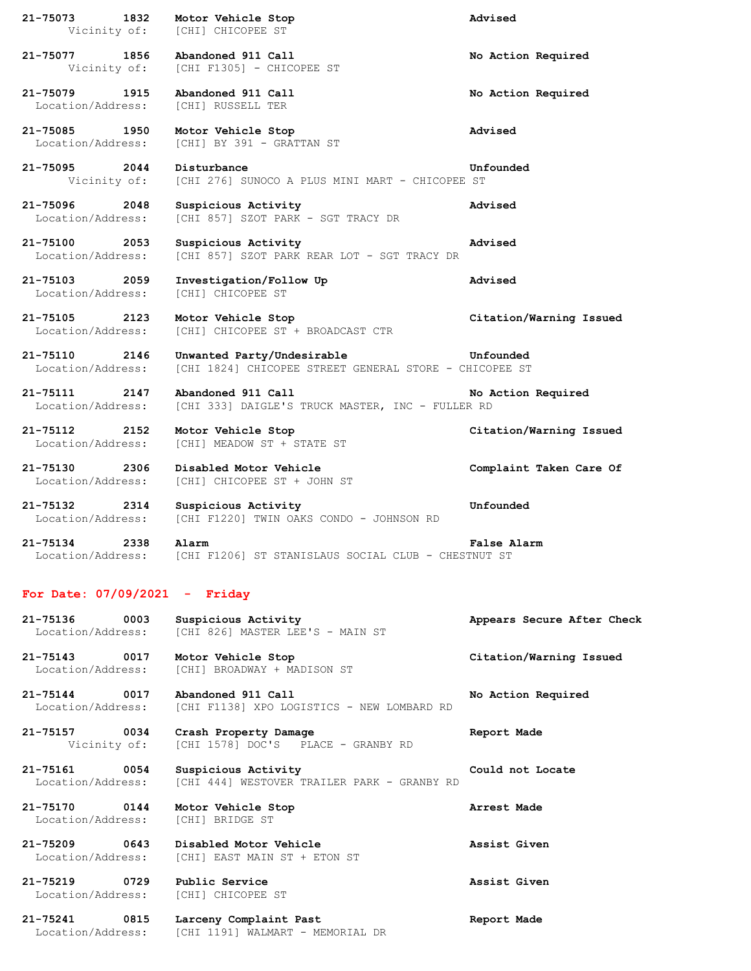| 21-75073 1832                      | Motor Vehicle Stop<br>Vicinity of: [CHI] CHICOPEE ST                                 | Advised                 |
|------------------------------------|--------------------------------------------------------------------------------------|-------------------------|
| 21-75077 1856                      | Abandoned 911 Call<br>Vicinity of: [CHI F1305] - CHICOPEE ST                         | No Action Required      |
| 21-75079 1915<br>Location/Address: | Abandoned 911 Call<br>[CHI] RUSSELL TER                                              | No Action Required      |
| 21-75085 1950<br>Location/Address: | Motor Vehicle Stop<br>[CHI] BY 391 - GRATTAN ST                                      | Advised                 |
| 21-75095 2044<br>Vicinity of:      | Disturbance<br>[CHI 276] SUNOCO A PLUS MINI MART - CHICOPEE ST                       | Unfounded               |
| 21-75096 2048<br>Location/Address: | Suspicious Activity<br>[CHI 857] SZOT PARK - SGT TRACY DR                            | Advised                 |
| 21-75100 2053<br>Location/Address: | Suspicious Activity<br>[CHI 857] SZOT PARK REAR LOT - SGT TRACY DR                   | Advised                 |
| 21-75103 2059<br>Location/Address: | Investigation/Follow Up<br>[CHI] CHICOPEE ST                                         | Advised                 |
| 21-75105 2123<br>Location/Address: | Motor Vehicle Stop<br>[CHI] CHICOPEE ST + BROADCAST CTR                              | Citation/Warning Issued |
| 21-75110 2146<br>Location/Address: | Unwanted Party/Undesirable<br>[CHI 1824] CHICOPEE STREET GENERAL STORE - CHICOPEE ST | Unfounded               |
| 21-75111 2147<br>Location/Address: | Abandoned 911 Call<br>[CHI 333] DAIGLE'S TRUCK MASTER, INC - FULLER RD               | No Action Required      |
| 21-75112 2152<br>Location/Address: | Motor Vehicle Stop<br>[CHI] MEADOW ST + STATE ST                                     | Citation/Warning Issued |
| 21-75130 2306<br>Location/Address: | Disabled Motor Vehicle<br>[CHI] CHICOPEE ST + JOHN ST                                | Complaint Taken Care Of |
| 21-75132 2314<br>Location/Address: | Suspicious Activity<br>[CHI F1220] TWIN OAKS CONDO - JOHNSON RD                      | Unfounded               |
| 21-75134 2338<br>Location/Address: | Alarm<br>[CHI F1206] ST STANISLAUS SOCIAL CLUB - CHESTNUT ST                         | False Alarm             |

## **For Date: 07/09/2021 - Friday**

Location/Address: [CHI 1191] WALMART - MEMORIAL DR

| 21-75136                           | 0003 | Suspicious Activity<br>Location/Address: [CHI 826] MASTER LEE'S - MAIN ST                        | Appears Secure After Check |  |
|------------------------------------|------|--------------------------------------------------------------------------------------------------|----------------------------|--|
| 21-75143 0017                      |      | Motor Vehicle Stop<br>Location/Address: [CHI] BROADWAY + MADISON ST                              | Citation/Warning Issued    |  |
|                                    |      | 21-75144 0017 Abandoned 911 Call<br>Location/Address: [CHI F1138] XPO LOGISTICS - NEW LOMBARD RD | No Action Required         |  |
| 21-75157 0034                      |      | Crash Property Damage<br>Vicinity of: [CHI 1578] DOC'S PLACE - GRANBY RD                         | Report Made                |  |
| 21-75161 0054<br>Location/Address: |      | Suspicious Activity<br>[CHI 444] WESTOVER TRAILER PARK - GRANBY RD                               | Could not Locate           |  |
| 21-75170 0144                      |      | Motor Vehicle Stop<br>Location/Address: [CHI] BRIDGE ST                                          | Arrest Made                |  |
| 21-75209 0643                      |      | Disabled Motor Vehicle<br>Location/Address: [CHI] EAST MAIN ST + ETON ST                         | Assist Given               |  |
|                                    |      | 21-75219 0729 Public Service<br>Location/Address: [CHI] CHICOPEE ST                              | Assist Given               |  |
| 21-75241                           | 0815 | Larceny Complaint Past                                                                           | Report Made                |  |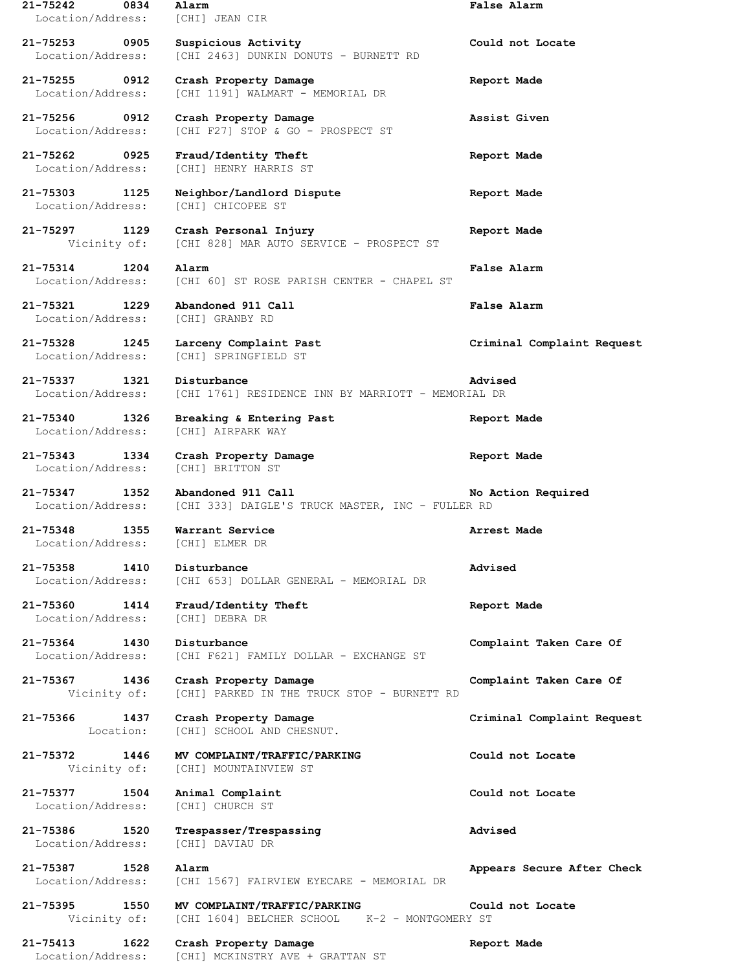| 21-75242<br>0834<br>Location/Address:     | Alarm<br>[CHI] JEAN CIR                                                       | False Alarm                |
|-------------------------------------------|-------------------------------------------------------------------------------|----------------------------|
| 21-75253 0905<br>Location/Address:        | Suspicious Activity<br>[CHI 2463] DUNKIN DONUTS - BURNETT RD                  | Could not Locate           |
| 21-75255 0912<br>Location/Address:        | Crash Property Damage<br>[CHI 1191] WALMART - MEMORIAL DR                     | Report Made                |
| 21-75256<br>0912<br>Location/Address:     | Crash Property Damage<br>[CHI F27] STOP & GO - PROSPECT ST                    | Assist Given               |
| 21-75262 0925<br>Location/Address:        | Fraud/Identity Theft<br>[CHI] HENRY HARRIS ST                                 | Report Made                |
| 21-75303 1125<br>Location/Address:        | Neighbor/Landlord Dispute<br>[CHI] CHICOPEE ST                                | Report Made                |
| 21-75297 1129<br>Vicinity of:             | Crash Personal Injury<br>[CHI 828] MAR AUTO SERVICE - PROSPECT ST             | Report Made                |
| $21 - 75314$<br>1204<br>Location/Address: | Alarm<br>[CHI 60] ST ROSE PARISH CENTER - CHAPEL ST                           | False Alarm                |
| 21-75321<br>1229<br>Location/Address:     | Abandoned 911 Call<br>[CHI] GRANBY RD                                         | <b>False Alarm</b>         |
| 21-75328<br>1245<br>Location/Address:     | Larceny Complaint Past<br>[CHI] SPRINGFIELD ST                                | Criminal Complaint Request |
| 21-75337<br>1321<br>Location/Address:     | Disturbance<br>[CHI 1761] RESIDENCE INN BY MARRIOTT - MEMORIAL DR             | Advised                    |
| 21-75340<br>1326<br>Location/Address:     | Breaking & Entering Past<br>[CHI] AIRPARK WAY                                 | Report Made                |
| 21-75343<br>1334<br>Location/Address:     | Crash Property Damage<br>[CHI] BRITTON ST                                     | Report Made                |
|                                           |                                                                               |                            |
| 21-75347<br>1352<br>Location/Address:     | Abandoned 911 Call<br>[CHI 333] DAIGLE'S TRUCK MASTER, INC - FULLER RD        | No Action Required         |
| 21-75348<br>1355<br>Location/Address:     | Warrant Service<br>[CHI] ELMER DR                                             | Arrest Made                |
| 21-75358 1410<br>Location/Address:        | Disturbance<br>[CHI 653] DOLLAR GENERAL - MEMORIAL DR                         | Advised                    |
| 21-75360 1414<br>Location/Address:        | Fraud/Identity Theft<br>[CHI] DEBRA DR                                        | Report Made                |
| 21-75364<br>1430<br>Location/Address:     | Disturbance<br>[CHI F621] FAMILY DOLLAR - EXCHANGE ST                         | Complaint Taken Care Of    |
| 21-75367 1436<br>Vicinity of:             | Crash Property Damage<br>[CHI] PARKED IN THE TRUCK STOP - BURNETT RD          | Complaint Taken Care Of    |
| 21-75366<br>1437<br>Location:             | Crash Property Damage<br>[CHI] SCHOOL AND CHESNUT.                            | Criminal Complaint Request |
| 21-75372<br>1446<br>Vicinity of:          | MV COMPLAINT/TRAFFIC/PARKING<br>[CHI] MOUNTAINVIEW ST                         | Could not Locate           |
| 21-75377<br>1504<br>Location/Address:     | Animal Complaint<br>[CHI] CHURCH ST                                           | Could not Locate           |
| 21-75386<br>1520<br>Location/Address:     | Trespasser/Trespassing<br>[CHI] DAVIAU DR                                     | Advised                    |
| 21-75387<br>1528<br>Location/Address:     | Alarm<br>[CHI 1567] FAIRVIEW EYECARE - MEMORIAL DR                            | Appears Secure After Check |
| 21-75395<br>1550<br>Vicinity of:          | MV COMPLAINT/TRAFFIC/PARKING<br>[CHI 1604] BELCHER SCHOOL K-2 - MONTGOMERY ST | Could not Locate           |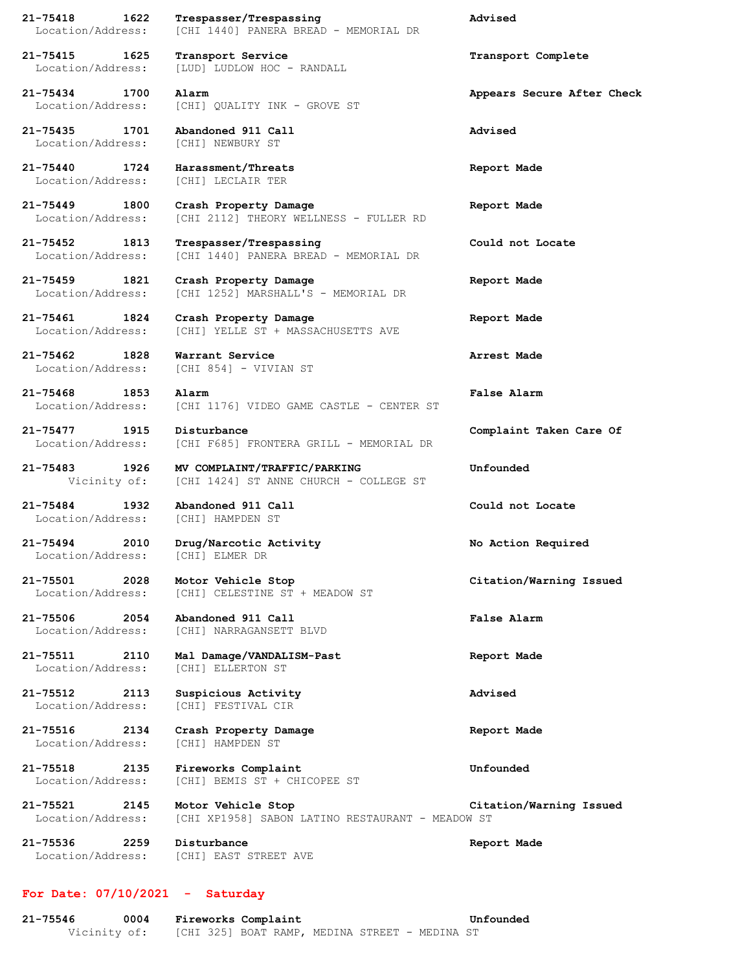**21-75418 1622 Trespasser/Trespassing Advised** Location/Address: [CHI 1440] PANERA BREAD - MEMORIAL DR

**21-75415 1625 Transport Service Transport Complete** Location/Address: [LUD] LUDLOW HOC - RANDALL

Location/Address: [CHI] QUALITY INK - GROVE ST

**21-75435 1701 Abandoned 911 Call Advised** Location/Address: [CHI] NEWBURY ST

**21-75440 1724 Harassment/Threats Report Made** Location/Address: [CHI] LECLAIR TER

**21-75449 1800 Crash Property Damage Report Made** Location/Address: [CHI 2112] THEORY WELLNESS - FULLER RD

**21-75452 1813 Trespasser/Trespassing Could not Locate** Location/Address: [CHI 1440] PANERA BREAD - MEMORIAL DR

**21-75459 1821 Crash Property Damage Report Made** Location/Address: [CHI 1252] MARSHALL'S - MEMORIAL DR

**21-75461 1824 Crash Property Damage Report Made** Location/Address: [CHI] YELLE ST + MASSACHUSETTS AVE

**21-75462 1828 Warrant Service Arrest Made** Location/Address: [CHI 854] - VIVIAN ST

**21-75468 1853 Alarm False Alarm** Location/Address: [CHI 1176] VIDEO GAME CASTLE - CENTER ST

**21-75477 1915 Disturbance Complaint Taken Care Of** Location/Address: [CHI F685] FRONTERA GRILL - MEMORIAL DR

**21-75483 1926 MV COMPLAINT/TRAFFIC/PARKING Unfounded** Vicinity of: [CHI 1424] ST ANNE CHURCH - COLLEGE ST

**21-75484 1932 Abandoned 911 Call Could not Locate** Location/Address: [CHI] HAMPDEN ST

**21-75494 2010 Drug/Narcotic Activity No Action Required** Location/Address: [CHI] ELMER DR

**21-75501 2028 Motor Vehicle Stop Citation/Warning Issued** Location/Address: [CHI] CELESTINE ST + MEADOW ST

**21-75506 2054 Abandoned 911 Call False Alarm** Location/Address: [CHI] NARRAGANSETT BLVD

**21-75511 2110 Mal Damage/VANDALISM-Past Report Made** Location/Address: [CHI] ELLERTON ST

**21-75512 2113 Suspicious Activity Advised** Location/Address: [CHI] FESTIVAL CIR

**21-75516 2134 Crash Property Damage Report Made** Location/Address: [CHI] HAMPDEN ST

**21-75518 2135 Fireworks Complaint Unfounded** Location/Address: [CHI] BEMIS ST + CHICOPEE ST

**21-75521 2145 Motor Vehicle Stop Citation/Warning Issued** Location/Address: [CHI XP1958] SABON LATINO RESTAURANT - MEADOW ST

**21-75536 2259 Disturbance Report Made** Location/Address: [CHI] EAST STREET AVE

## **For Date: 07/10/2021 - Saturday**

**21-75546 0004 Fireworks Complaint Unfounded** Vicinity of: [CHI 325] BOAT RAMP, MEDINA STREET - MEDINA ST

**21-75434 1700 Alarm Appears Secure After Check**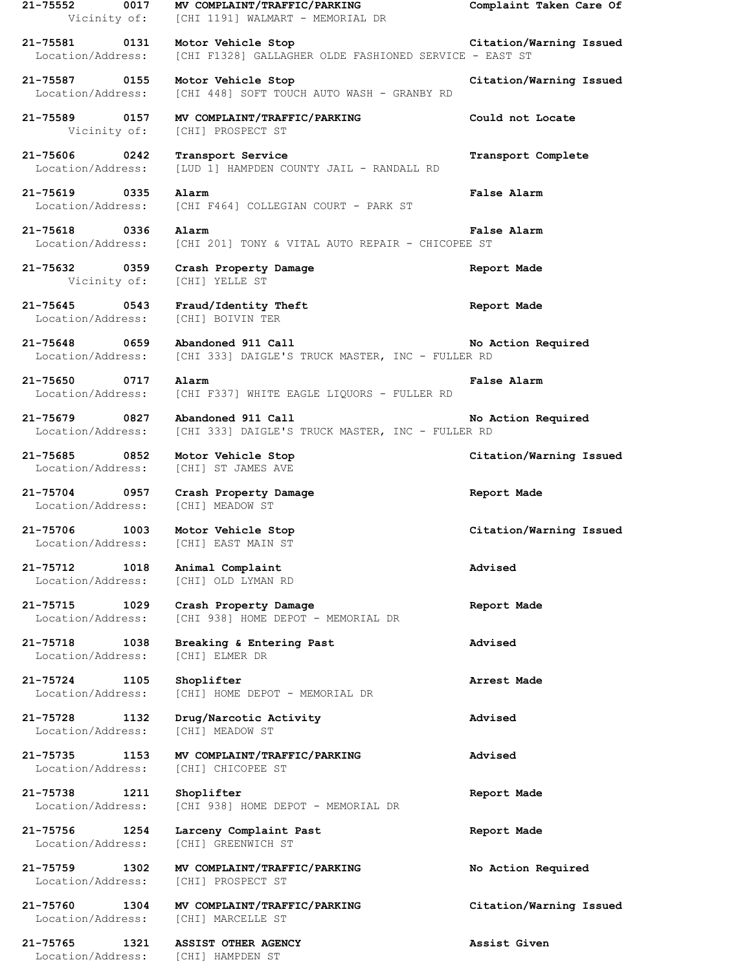**21-75552 0017 MV COMPLAINT/TRAFFIC/PARKING Complaint Taken Care Of** Vicinity of: [CHI 1191] WALMART - MEMORIAL DR **21-75581 0131 Motor Vehicle Stop Citation/Warning Issued** Location/Address: [CHI F1328] GALLAGHER OLDE FASHIONED SERVICE - EAST ST **21-75587 0155 Motor Vehicle Stop Citation/Warning Issued** Location/Address: [CHI 448] SOFT TOUCH AUTO WASH - GRANBY RD **21-75589 0157 MV COMPLAINT/TRAFFIC/PARKING Could not Locate** Vicinity of: [CHI] PROSPECT ST **21-75606 0242 Transport Service Transport Complete** Location/Address: [LUD 1] HAMPDEN COUNTY JAIL - RANDALL RD **21-75619 0335 Alarm False Alarm** Location/Address: [CHI F464] COLLEGIAN COURT - PARK ST **21-75618 0336 Alarm False Alarm** Location/Address: [CHI 201] TONY & VITAL AUTO REPAIR - CHICOPEE ST **21-75632 0359 Crash Property Damage Report Made** Vicinity of: [CHI] YELLE ST **21-75645 0543 Fraud/Identity Theft Report Made** Location/Address: [CHI] BOIVIN TER **21-75648 0659 Abandoned 911 Call No Action Required** Location/Address: [CHI 333] DAIGLE'S TRUCK MASTER, INC - FULLER RD **21-75650 0717 Alarm False Alarm** Location/Address: [CHI F337] WHITE EAGLE LIQUORS - FULLER RD **21-75679 0827 Abandoned 911 Call No Action Required** Location/Address: [CHI 333] DAIGLE'S TRUCK MASTER, INC - FULLER RD **21-75685 0852 Motor Vehicle Stop Citation/Warning Issued** Location/Address: [CHI] ST JAMES AVE **21-75704 0957 Crash Property Damage Report Made** Location/Address: [CHI] MEADOW ST **21-75706 1003 Motor Vehicle Stop Citation/Warning Issued** Location/Address: [CHI] EAST MAIN ST **21-75712 1018 Animal Complaint Advised** Location/Address: [CHI] OLD LYMAN RD **21-75715 1029 Crash Property Damage Report Made** Location/Address: [CHI 938] HOME DEPOT - MEMORIAL DR **21-75718 1038 Breaking & Entering Past Advised** Location/Address: [CHI] ELMER DR **21-75724 1105 Shoplifter Arrest Made** Location/Address: [CHI] HOME DEPOT - MEMORIAL DR **21-75728 1132 Drug/Narcotic Activity Advised** Location/Address: [CHI] MEADOW ST **21-75735 1153 MV COMPLAINT/TRAFFIC/PARKING Advised** Location/Address: [CHI] CHICOPEE ST **21-75738 1211 Shoplifter Report Made** Location/Address: [CHI 938] HOME DEPOT - MEMORIAL DR **21-75756 1254 Larceny Complaint Past Report Made** Location/Address: [CHI] GREENWICH ST **21-75759 1302 MV COMPLAINT/TRAFFIC/PARKING No Action Required** Location/Address: [CHI] PROSPECT ST **21-75760 1304 MV COMPLAINT/TRAFFIC/PARKING Citation/Warning Issued** Location/Address: [CHI] MARCELLE ST **21-75765 1321 ASSIST OTHER AGENCY Assist Given** Location/Address: [CHI] HAMPDEN ST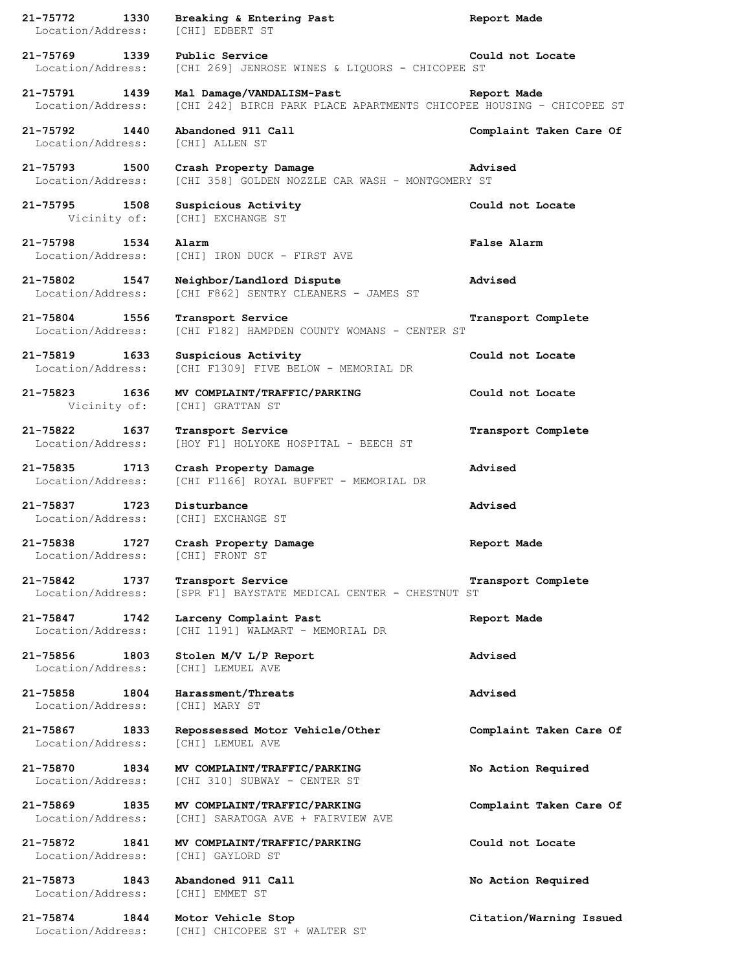| 21-75772<br>1330                      |      | Breaking & Entering Past<br>Location/Address: [CHI] EDBERT ST                                     | Report Made             |
|---------------------------------------|------|---------------------------------------------------------------------------------------------------|-------------------------|
| 21-75769 1339<br>Location/Address:    |      | Public Service<br>[CHI 269] JENROSE WINES & LIQUORS - CHICOPEE ST                                 | Could not Locate        |
| 21-75791 1439<br>Location/Address:    |      | Mal Damage/VANDALISM-Past<br>[CHI 242] BIRCH PARK PLACE APARTMENTS CHICOPEE HOUSING - CHICOPEE ST | Report Made             |
| 21-75792 1440<br>Location/Address:    |      | Abandoned 911 Call<br>[CHI] ALLEN ST                                                              | Complaint Taken Care Of |
| 21-75793 1500<br>Location/Address:    |      | Crash Property Damage<br>[CHI 358] GOLDEN NOZZLE CAR WASH - MONTGOMERY ST                         | Advised                 |
| 21-75795 1508<br>Vicinity of:         |      | Suspicious Activity<br>[CHI] EXCHANGE ST                                                          | Could not Locate        |
| 21-75798<br>Location/Address:         | 1534 | Alarm<br>[CHI] IRON DUCK - FIRST AVE                                                              | False Alarm             |
| 21-75802 1547<br>Location/Address:    |      | Neighbor/Landlord Dispute<br>[CHI F862] SENTRY CLEANERS - JAMES ST                                | Advised                 |
| 21-75804 1556<br>Location/Address:    |      | Transport Service<br>[CHI F182] HAMPDEN COUNTY WOMANS - CENTER ST                                 | Transport Complete      |
| 21-75819 1633<br>Location/Address:    |      | Suspicious Activity<br>[CHI F1309] FIVE BELOW - MEMORIAL DR                                       | Could not Locate        |
| 21-75823 1636<br>Vicinity of:         |      | MV COMPLAINT/TRAFFIC/PARKING<br>[CHI] GRATTAN ST                                                  | Could not Locate        |
| 21-75822<br>Location/Address:         | 1637 | Transport Service<br>[HOY F1] HOLYOKE HOSPITAL - BEECH ST                                         | Transport Complete      |
| 21-75835 1713<br>Location/Address:    |      | Crash Property Damage<br>[CHI F1166] ROYAL BUFFET - MEMORIAL DR                                   | Advised                 |
| 21-75837 1723                         |      | Disturbance<br>Location/Address: [CHI] EXCHANGE ST                                                | Advised                 |
| 21-75838 1727                         |      | Crash Property Damage<br>Location/Address: [CHI] FRONT ST                                         | Report Made             |
| 21-75842<br>Location/Address:         | 1737 | Transport Service<br>[SPR F1] BAYSTATE MEDICAL CENTER - CHESTNUT ST                               | Transport Complete      |
| 21-75847<br>1742<br>Location/Address: |      | Larceny Complaint Past<br>[CHI 1191] WALMART - MEMORIAL DR                                        | Report Made             |
| 21-75856 1803<br>Location/Address:    |      | Stolen M/V L/P Report<br>[CHI] LEMUEL AVE                                                         | Advised                 |
| 21-75858 1804<br>Location/Address:    |      | Harassment/Threats<br>[CHI] MARY ST                                                               | Advised                 |
| 21-75867 1833<br>Location/Address:    |      | Repossessed Motor Vehicle/Other<br>[CHI] LEMUEL AVE                                               | Complaint Taken Care Of |
| 21-75870 1834<br>Location/Address:    |      | MV COMPLAINT/TRAFFIC/PARKING<br>[CHI 310] SUBWAY - CENTER ST                                      | No Action Required      |
| 21-75869<br>Location/Address:         | 1835 | MV COMPLAINT/TRAFFIC/PARKING<br>[CHI] SARATOGA AVE + FAIRVIEW AVE                                 | Complaint Taken Care Of |
| 21-75872 1841<br>Location/Address:    |      | MV COMPLAINT/TRAFFIC/PARKING<br>[CHI] GAYLORD ST                                                  | Could not Locate        |
| 21-75873                              | 1843 | Abandoned 911 Call<br>Location/Address: [CHI] EMMET ST                                            | No Action Required      |
| 21-75874 1844                         |      | Motor Vehicle Stop<br>Location/Address: [CHI] CHICOPEE ST + WALTER ST                             | Citation/Warning Issued |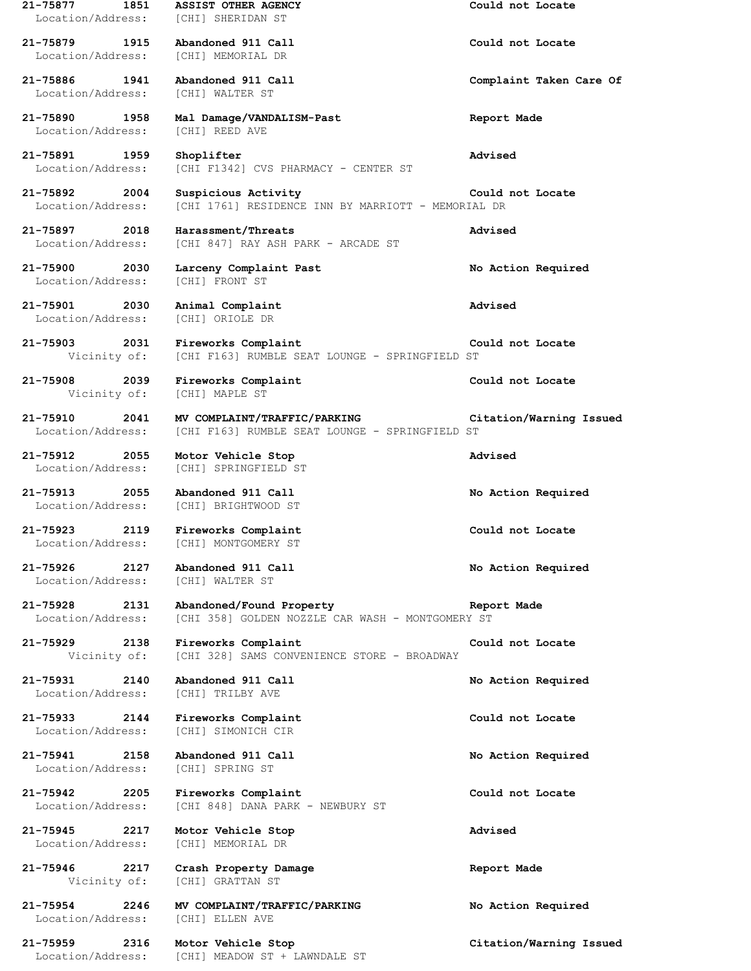**21-75877 1851 ASSIST OTHER AGENCY Could not Locate** Location/Address: [CHI] SHERIDAN ST **21-75879 1915 Abandoned 911 Call Could not Locate** Location/Address: [CHI] MEMORIAL DR **21-75886 1941 Abandoned 911 Call Complaint Taken Care Of** Location/Address: [CHI] WALTER ST **21-75890 1958 Mal Damage/VANDALISM-Past Report Made** Location/Address: [CHI] REED AVE **21-75891 1959 Shoplifter Advised** Location/Address: [CHI F1342] CVS PHARMACY - CENTER ST **21-75892 2004 Suspicious Activity Could not Locate** Location/Address: [CHI 1761] RESIDENCE INN BY MARRIOTT - MEMORIAL DR **21-75897 2018 Harassment/Threats Advised** Location/Address: [CHI 847] RAY ASH PARK - ARCADE ST **21-75900 2030 Larceny Complaint Past No Action Required** Location/Address: [CHI] FRONT ST **21-75901 2030 Animal Complaint Advised** Location/Address: [CHI] ORIOLE DR **21-75903 2031 Fireworks Complaint Could not Locate** Vicinity of: [CHI F163] RUMBLE SEAT LOUNGE - SPRINGFIELD ST **21-75908 2039 Fireworks Complaint Could not Locate** Vicinity of: [CHI] MAPLE ST **21-75910 2041 MV COMPLAINT/TRAFFIC/PARKING Citation/Warning Issued** Location/Address: [CHI F163] RUMBLE SEAT LOUNGE - SPRINGFIELD ST **21-75912 2055 Motor Vehicle Stop Advised** Location/Address: [CHI] SPRINGFIELD ST **21-75913 2055 Abandoned 911 Call No Action Required** [CHI] BRIGHTWOOD ST **21-75923 2119 Fireworks Complaint Could not Locate** Location/Address: [CHI] MONTGOMERY ST **21-75926 2127 Abandoned 911 Call No Action Required** Location/Address: [CHI] WALTER ST **21-75928 2131 Abandoned/Found Property Report Made** Location/Address: [CHI 358] GOLDEN NOZZLE CAR WASH - MONTGOMERY ST **21-75929 2138 Fireworks Complaint Could not Locate** Vicinity of: [CHI 328] SAMS CONVENIENCE STORE - BROADWAY **21-75931 2140 Abandoned 911 Call No Action Required** Location/Address: [CHI] TRILBY AVE **21-75933 2144 Fireworks Complaint Could not Locate** Location/Address: [CHI] SIMONICH CIR **21-75941 2158 Abandoned 911 Call No Action Required** Location/Address: [CHI] SPRING ST **21-75942 2205 Fireworks Complaint Could not Locate** Location/Address: [CHI 848] DANA PARK - NEWBURY ST **21-75945 2217 Motor Vehicle Stop Advised** Location/Address: [CHI] MEMORIAL DR **21-75946 2217 Crash Property Damage Report Made** Vicinity of: [CHI] GRATTAN ST **21-75954 2246 MV COMPLAINT/TRAFFIC/PARKING No Action Required** Location/Address: [CHI] ELLEN AVE **21-75959 2316 Motor Vehicle Stop Citation/Warning Issued** Location/Address: [CHI] MEADOW ST + LAWNDALE ST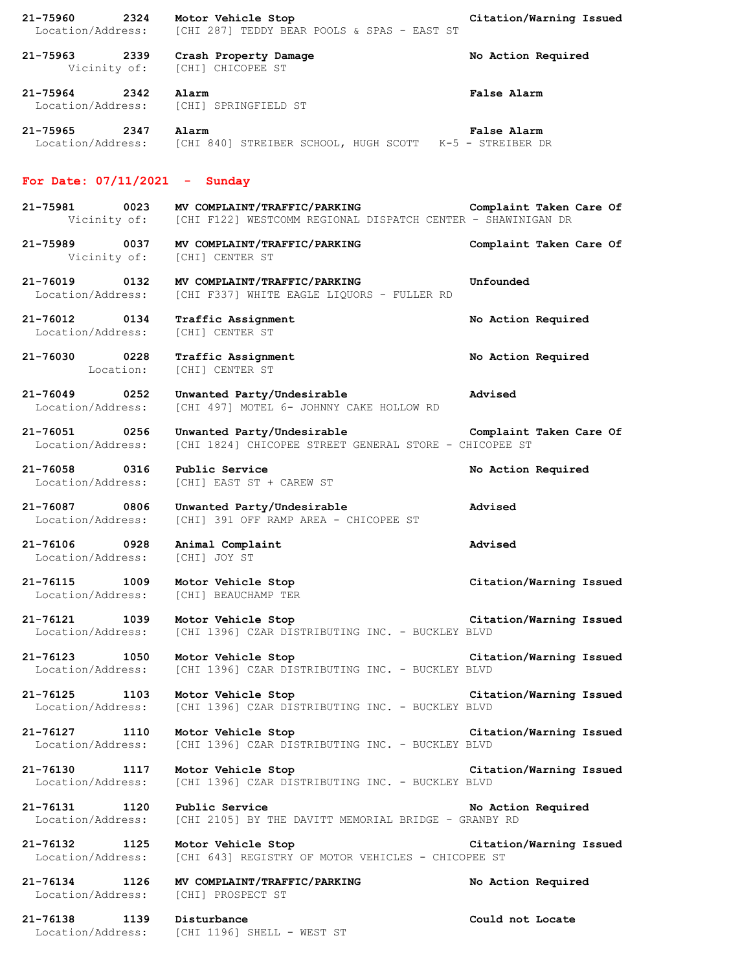| 21-75960<br>2324<br>Location/Address:         | Motor Vehicle Stop<br>[CHI 287] TEDDY BEAR POOLS & SPAS - EAST ST                                                                 | Citation/Warning Issued |
|-----------------------------------------------|-----------------------------------------------------------------------------------------------------------------------------------|-------------------------|
| 21-75963 2339<br>Vicinity of:                 | Crash Property Damage<br>[CHI] CHICOPEE ST                                                                                        | No Action Required      |
| $21 - 75964$<br>2342                          | Alarm<br>Location/Address: [CHI] SPRINGFIELD ST                                                                                   | False Alarm             |
| 21-75965<br>2347                              | Alarm<br>Location/Address: [CHI 840] STREIBER SCHOOL, HUGH SCOTT K-5 - STREIBER DR                                                | False Alarm             |
| For Date: $07/11/2021$ - Sunday               |                                                                                                                                   |                         |
| 21-75981 0023                                 | MV COMPLAINT/TRAFFIC/PARKING Complaint Taken Care Of<br>Vicinity of: [CHI F122] WESTCOMM REGIONAL DISPATCH CENTER - SHAWINIGAN DR |                         |
| 21-75989 0037<br>Vicinity of: [CHI] CENTER ST | MV COMPLAINT/TRAFFIC/PARKING                                                                                                      | Complaint Taken Care Of |
| 21-76019 0132<br>Location/Address:            | MV COMPLAINT/TRAFFIC/PARKING<br>[CHI F337] WHITE EAGLE LIOUORS - FULLER RD                                                        | Unfounded               |
| 21-76012<br>0134<br>Location/Address:         | Traffic Assignment<br>[CHI] CENTER ST                                                                                             | No Action Required      |
| 21-76030 0228<br>Location:                    | Traffic Assignment<br>[CHI] CENTER ST                                                                                             | No Action Required      |
| 21-76049<br>0252<br>Location/Address:         | Unwanted Party/Undesirable<br>[CHI 497] MOTEL 6- JOHNNY CAKE HOLLOW RD                                                            | Advised                 |
| 21-76051 0256<br>Location/Address:            | Unwanted Party/Undesirable<br>[CHI 1824] CHICOPEE STREET GENERAL STORE - CHICOPEE ST                                              | Complaint Taken Care Of |
| 21-76058 0316<br>Location/Address:            | Public Service<br>[CHI] EAST ST + CAREW ST                                                                                        | No Action Required      |
| 21-76087 0806<br>Location/Address:            | Unwanted Party/Undesirable<br>[CHI] 391 OFF RAMP AREA - CHICOPEE ST                                                               | Advised                 |
| 21-76106 0928<br>Location/Address:            | Animal Complaint<br>[CHI] JOY ST                                                                                                  | Advised                 |
| 21-76115 1009<br>Location/Address:            | Motor Vehicle Stop<br>[CHI] BEAUCHAMP TER                                                                                         | Citation/Warning Issued |
| 21-76121 1039<br>Location/Address:            | Motor Vehicle Stop<br>[CHI 1396] CZAR DISTRIBUTING INC. - BUCKLEY BLVD                                                            | Citation/Warning Issued |
| 21-76123 1050<br>Location/Address:            | Motor Vehicle Stop<br>[CHI 1396] CZAR DISTRIBUTING INC. - BUCKLEY BLVD                                                            | Citation/Warning Issued |
| 21-76125 1103<br>Location/Address:            | Motor Vehicle Stop<br>[CHI 1396] CZAR DISTRIBUTING INC. - BUCKLEY BLVD                                                            | Citation/Warning Issued |
| 21-76127 1110<br>Location/Address:            | Motor Vehicle Stop<br>[CHI 1396] CZAR DISTRIBUTING INC. - BUCKLEY BLVD                                                            | Citation/Warning Issued |
| 21-76130 1117<br>Location/Address:            | Motor Vehicle Stop<br>[CHI 1396] CZAR DISTRIBUTING INC. - BUCKLEY BLVD                                                            | Citation/Warning Issued |
| 21-76131 1120<br>Location/Address:            | Public Service<br>[CHI 2105] BY THE DAVITT MEMORIAL BRIDGE - GRANBY RD                                                            | No Action Required      |
| 21-76132 1125<br>Location/Address:            | Motor Vehicle Stop<br>[CHI 643] REGISTRY OF MOTOR VEHICLES - CHICOPEE ST                                                          | Citation/Warning Issued |
| 21-76134 1126<br>Location/Address:            | MV COMPLAINT/TRAFFIC/PARKING<br>[CHI] PROSPECT ST                                                                                 | No Action Required      |
| 21-76138 1139                                 | Disturbance<br>Location/Address: [CHI 1196] SHELL - WEST ST                                                                       | Could not Locate        |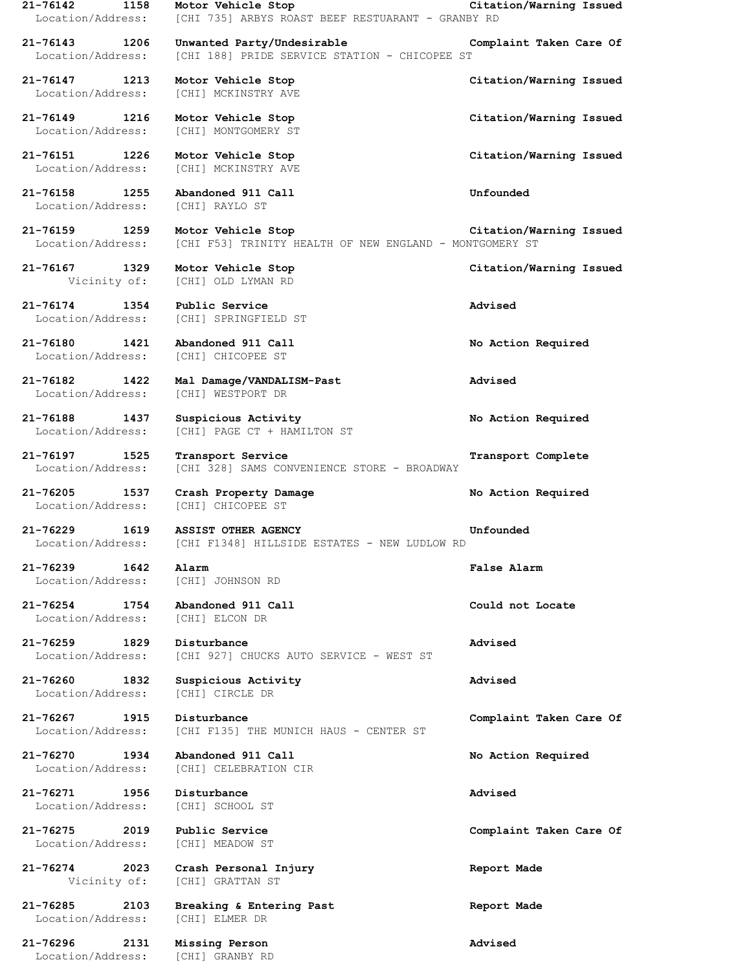| 21-76142 1158 Motor Vehicle Stop                                                | Citation/Warning Issued<br>Location/Address: [CHI 735] ARBYS ROAST BEEF RESTUARANT - GRANBY RD      |                         |
|---------------------------------------------------------------------------------|-----------------------------------------------------------------------------------------------------|-------------------------|
| 21-76143 1206                                                                   | Unwanted Party/Undesirable The Complaint Taken Care Of                                              |                         |
| Location/Address:                                                               | [CHI 188] PRIDE SERVICE STATION - CHICOPEE ST                                                       |                         |
| 21-76147 1213 Motor Vehicle Stop<br>Location/Address:                           | [CHI] MCKINSTRY AVE                                                                                 | Citation/Warning Issued |
| 21-76149 1216 Motor Vehicle Stop                                                | Location/Address: [CHI] MONTGOMERY ST                                                               | Citation/Warning Issued |
| 21-76151 1226 Motor Vehicle Stop                                                | Location/Address: [CHI] MCKINSTRY AVE                                                               | Citation/Warning Issued |
| 21-76158 1255 Abandoned 911 Call<br>Location/Address: [CHI] RAYLO ST            |                                                                                                     | Unfounded               |
| 21-76159 1259<br>Location/Address:                                              | Motor Vehicle Stop<br>[CHI F53] TRINITY HEALTH OF NEW ENGLAND - MONTGOMERY ST                       | Citation/Warning Issued |
| 21-76167 1329<br>Vicinity of: [CHI] OLD LYMAN RD                                | Motor Vehicle Stop                                                                                  | Citation/Warning Issued |
| 21-76174 1354 Public Service                                                    | Location/Address: [CHI] SPRINGFIELD ST                                                              | Advised                 |
| 21-76180   1421   Abandoned   911   Call<br>Location/Address: [CHI] CHICOPEE ST |                                                                                                     | No Action Required      |
| 21-76182 1422<br>Location/Address:                                              | Mal Damage/VANDALISM-Past<br>[CHI] WESTPORT DR                                                      | Advised                 |
| 21-76188 1437<br>Location/Address:                                              | Suspicious Activity<br>[CHI] PAGE CT + HAMILTON ST                                                  | No Action Required      |
| 21-76197 1525<br>Location/Address:                                              | Transport Service<br>[CHI 328] SAMS CONVENIENCE STORE - BROADWAY                                    | Transport Complete      |
| 21-76205<br>Location/Address:                                                   | 1537 Crash Property Damage<br>[CHI] CHICOPEE ST                                                     | No Action Required      |
|                                                                                 | 21-76229 1619 ASSIST OTHER AGENCY<br>Location/Address: [CHI F1348] HILLSIDE ESTATES - NEW LUDLOW RD | Unfounded               |
| 21-76239 1642<br>Location/Address: [CHI] JOHNSON RD                             | Alarm                                                                                               | <b>False Alarm</b>      |
| 21-76254 1754<br>Location/Address:                                              | Abandoned 911 Call<br>[CHI] ELCON DR                                                                | Could not Locate        |
| 21-76259 1829<br>Location/Address:                                              | Disturbance<br>[CHI 927] CHUCKS AUTO SERVICE - WEST ST                                              | Advised                 |
| 21-76260<br>1832<br>Location/Address:                                           | Suspicious Activity<br>[CHI] CIRCLE DR                                                              | Advised                 |
| 21-76267 1915<br>Location/Address:                                              | Disturbance<br>[CHI F135] THE MUNICH HAUS - CENTER ST                                               | Complaint Taken Care Of |
| 21-76270<br>1934<br>Location/Address:                                           | Abandoned 911 Call<br>[CHI] CELEBRATION CIR                                                         | No Action Required      |
| 21-76271<br>1956<br>Location/Address:                                           | Disturbance<br>[CHI] SCHOOL ST                                                                      | Advised                 |
| 21-76275<br>2019<br>Location/Address:                                           | Public Service<br>[CHI] MEADOW ST                                                                   | Complaint Taken Care Of |
| 21-76274<br>2023<br>Vicinity of:                                                | Crash Personal Injury<br>[CHI] GRATTAN ST                                                           | Report Made             |
| 21-76285<br>2103<br>Location/Address:                                           | Breaking & Entering Past<br>[CHI] ELMER DR                                                          | Report Made             |
| 21-76296<br>2131<br>Location/Address:                                           | Missing Person<br>[CHI] GRANBY RD                                                                   | Advised                 |